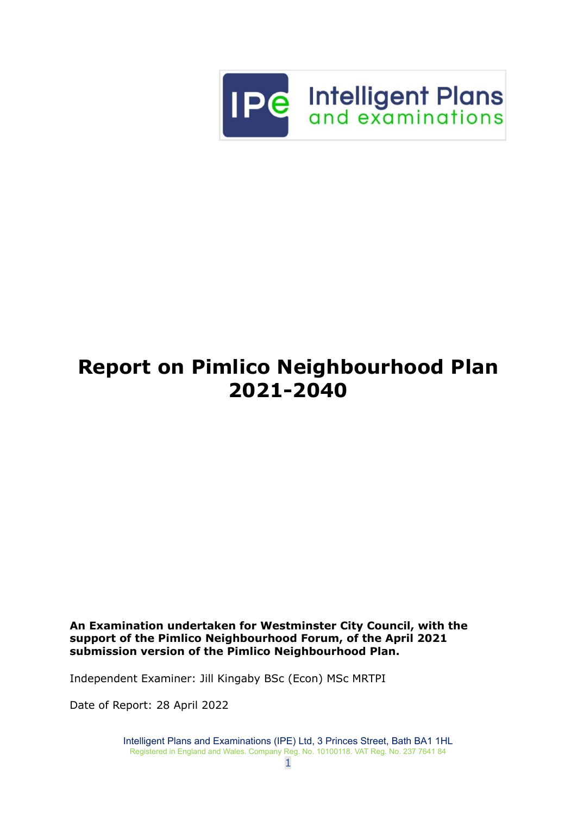

# **Report on Pimlico Neighbourhood Plan 2021-2040**

**An Examination undertaken for Westminster City Council, with the support of the Pimlico Neighbourhood Forum, of the April 2021 submission version of the Pimlico Neighbourhood Plan.**

Independent Examiner: Jill Kingaby BSc (Econ) MSc MRTPI

Date of Report: 28 April 2022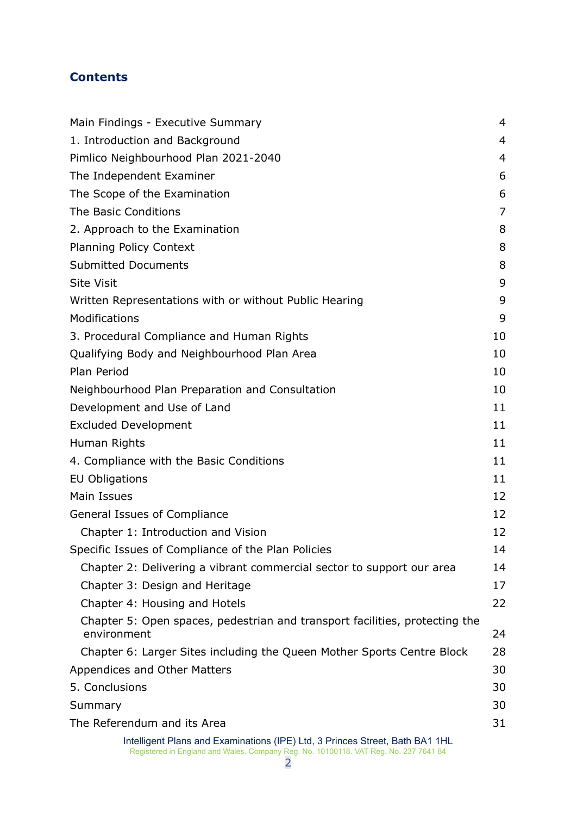## **Contents**

| Main Findings - Executive Summary                                                          | $\overline{4}$ |
|--------------------------------------------------------------------------------------------|----------------|
| 1. Introduction and Background                                                             | $\overline{4}$ |
| Pimlico Neighbourhood Plan 2021-2040                                                       | $\overline{4}$ |
| The Independent Examiner                                                                   | 6              |
| The Scope of the Examination                                                               | 6              |
| The Basic Conditions                                                                       | 7              |
| 2. Approach to the Examination                                                             | 8              |
| <b>Planning Policy Context</b>                                                             | 8              |
| <b>Submitted Documents</b>                                                                 | 8              |
| <b>Site Visit</b>                                                                          | 9              |
| Written Representations with or without Public Hearing                                     | 9              |
| Modifications                                                                              | 9              |
| 3. Procedural Compliance and Human Rights                                                  | 10             |
| Qualifying Body and Neighbourhood Plan Area                                                | 10             |
| Plan Period                                                                                | 10             |
| Neighbourhood Plan Preparation and Consultation                                            | 10             |
| Development and Use of Land                                                                | 11             |
| <b>Excluded Development</b>                                                                | 11             |
| Human Rights                                                                               | 11             |
| 4. Compliance with the Basic Conditions                                                    | 11             |
| <b>EU Obligations</b>                                                                      | 11             |
| Main Issues                                                                                | 12             |
| General Issues of Compliance                                                               | 12             |
| Chapter 1: Introduction and Vision                                                         | 12             |
| Specific Issues of Compliance of the Plan Policies                                         | 14             |
| Chapter 2: Delivering a vibrant commercial sector to support our area                      | 14             |
| Chapter 3: Design and Heritage                                                             | 17             |
| Chapter 4: Housing and Hotels                                                              | 22             |
| Chapter 5: Open spaces, pedestrian and transport facilities, protecting the<br>environment | 24             |
| Chapter 6: Larger Sites including the Queen Mother Sports Centre Block                     | 28             |
| Appendices and Other Matters                                                               | 30             |
| 5. Conclusions                                                                             | 30             |
| Summary                                                                                    | 30             |
| The Referendum and its Area                                                                | 31             |
| Intelligent Plans and Examinations (IPE) Ltd, 3 Princes Street, Bath BA1 1HL               |                |

Registered in England and Wales. Company Reg. No. 10100118. VAT Reg. No. 237 7641 84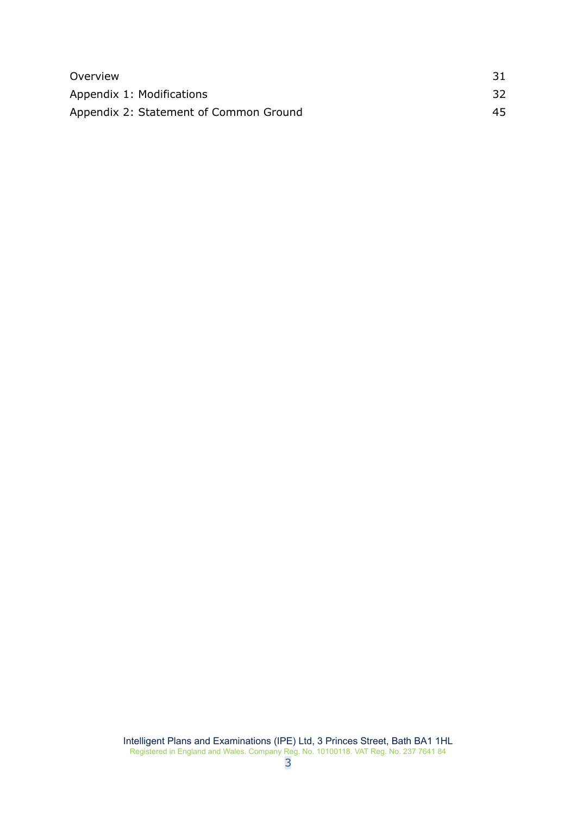| Overview                               |     |
|----------------------------------------|-----|
| Appendix 1: Modifications              | 32  |
| Appendix 2: Statement of Common Ground | 45. |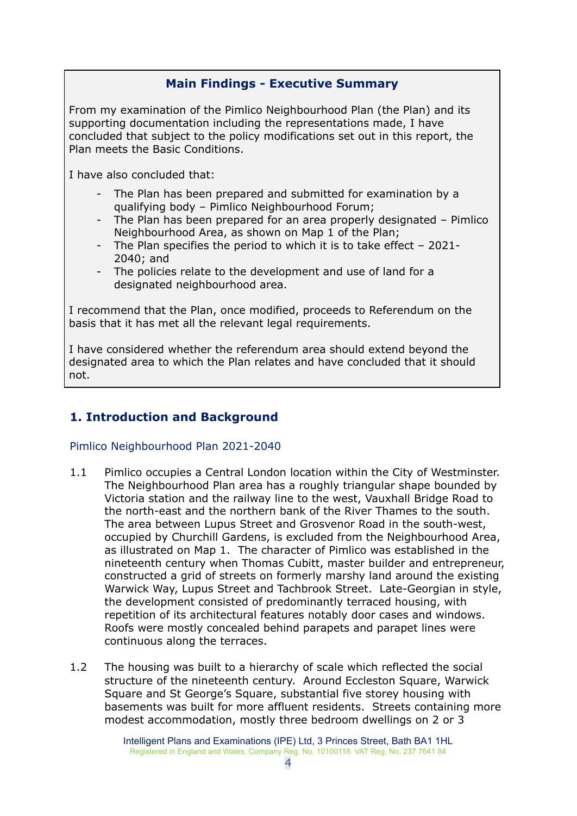## **Main Findings - Executive Summary**

<span id="page-3-0"></span>From my examination of the Pimlico Neighbourhood Plan (the Plan) and its supporting documentation including the representations made, I have concluded that subject to the policy modifications set out in this report, the Plan meets the Basic Conditions.

I have also concluded that:

- The Plan has been prepared and submitted for examination by a qualifying body – Pimlico Neighbourhood Forum;
- The Plan has been prepared for an area properly designated Pimlico Neighbourhood Area, as shown on Map 1 of the Plan;
- The Plan specifies the period to which it is to take effect 2021- 2040; and
- The policies relate to the development and use of land for a designated neighbourhood area.

I recommend that the Plan, once modified, proceeds to Referendum on the basis that it has met all the relevant legal requirements.

I have considered whether the referendum area should extend beyond the designated area to which the Plan relates and have concluded that it should not.

## <span id="page-3-1"></span>**1. Introduction and Background**

## <span id="page-3-2"></span>Pimlico Neighbourhood Plan 2021-2040

- 1.1 Pimlico occupies a Central London location within the City of Westminster. The Neighbourhood Plan area has a roughly triangular shape bounded by Victoria station and the railway line to the west, Vauxhall Bridge Road to the north-east and the northern bank of the River Thames to the south. The area between Lupus Street and Grosvenor Road in the south-west, occupied by Churchill Gardens, is excluded from the Neighbourhood Area, as illustrated on Map 1. The character of Pimlico was established in the nineteenth century when Thomas Cubitt, master builder and entrepreneur, constructed a grid of streets on formerly marshy land around the existing Warwick Way, Lupus Street and Tachbrook Street. Late-Georgian in style, the development consisted of predominantly terraced housing, with repetition of its architectural features notably door cases and windows. Roofs were mostly concealed behind parapets and parapet lines were continuous along the terraces.
- 1.2 The housing was built to a hierarchy of scale which reflected the social structure of the nineteenth century. Around Eccleston Square, Warwick Square and St George's Square, substantial five storey housing with basements was built for more affluent residents. Streets containing more modest accommodation, mostly three bedroom dwellings on 2 or 3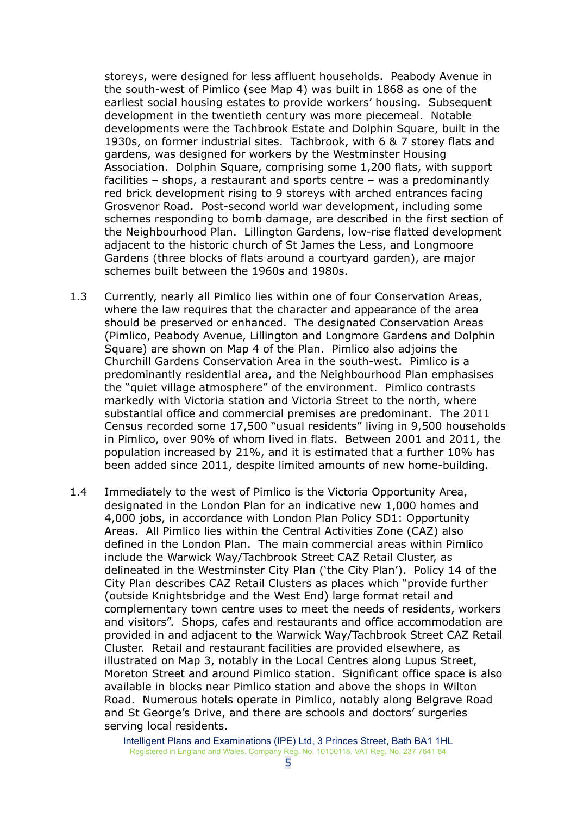storeys, were designed for less affluent households. Peabody Avenue in the south-west of Pimlico (see Map 4) was built in 1868 as one of the earliest social housing estates to provide workers' housing. Subsequent development in the twentieth century was more piecemeal. Notable developments were the Tachbrook Estate and Dolphin Square, built in the 1930s, on former industrial sites. Tachbrook, with 6 & 7 storey flats and gardens, was designed for workers by the Westminster Housing Association. Dolphin Square, comprising some 1,200 flats, with support facilities – shops, a restaurant and sports centre – was a predominantly red brick development rising to 9 storeys with arched entrances facing Grosvenor Road. Post-second world war development, including some schemes responding to bomb damage, are described in the first section of the Neighbourhood Plan. Lillington Gardens, low-rise flatted development adjacent to the historic church of St James the Less, and Longmoore Gardens (three blocks of flats around a courtyard garden), are major schemes built between the 1960s and 1980s.

- 1.3 Currently, nearly all Pimlico lies within one of four Conservation Areas, where the law requires that the character and appearance of the area should be preserved or enhanced. The designated Conservation Areas (Pimlico, Peabody Avenue, Lillington and Longmore Gardens and Dolphin Square) are shown on Map 4 of the Plan. Pimlico also adjoins the Churchill Gardens Conservation Area in the south-west. Pimlico is a predominantly residential area, and the Neighbourhood Plan emphasises the "quiet village atmosphere" of the environment. Pimlico contrasts markedly with Victoria station and Victoria Street to the north, where substantial office and commercial premises are predominant. The 2011 Census recorded some 17,500 "usual residents" living in 9,500 households in Pimlico, over 90% of whom lived in flats. Between 2001 and 2011, the population increased by 21%, and it is estimated that a further 10% has been added since 2011, despite limited amounts of new home-building.
- 1.4 Immediately to the west of Pimlico is the Victoria Opportunity Area, designated in the London Plan for an indicative new 1,000 homes and 4,000 jobs, in accordance with London Plan Policy SD1: Opportunity Areas. All Pimlico lies within the Central Activities Zone (CAZ) also defined in the London Plan. The main commercial areas within Pimlico include the Warwick Way/Tachbrook Street CAZ Retail Cluster, as delineated in the Westminster City Plan ('the City Plan'). Policy 14 of the City Plan describes CAZ Retail Clusters as places which "provide further (outside Knightsbridge and the West End) large format retail and complementary town centre uses to meet the needs of residents, workers and visitors". Shops, cafes and restaurants and office accommodation are provided in and adjacent to the Warwick Way/Tachbrook Street CAZ Retail Cluster. Retail and restaurant facilities are provided elsewhere, as illustrated on Map 3, notably in the Local Centres along Lupus Street, Moreton Street and around Pimlico station. Significant office space is also available in blocks near Pimlico station and above the shops in Wilton Road. Numerous hotels operate in Pimlico, notably along Belgrave Road and St George's Drive, and there are schools and doctors' surgeries serving local residents.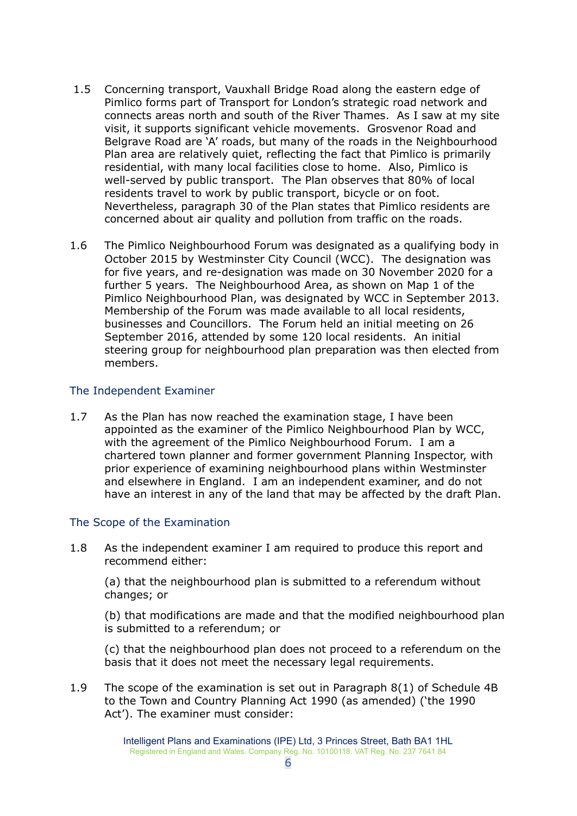- 1.5 Concerning transport, Vauxhall Bridge Road along the eastern edge of Pimlico forms part of Transport for London's strategic road network and connects areas north and south of the River Thames. As I saw at my site visit, it supports significant vehicle movements. Grosvenor Road and Belgrave Road are 'A' roads, but many of the roads in the Neighbourhood Plan area are relatively quiet, reflecting the fact that Pimlico is primarily residential, with many local facilities close to home. Also, Pimlico is well-served by public transport. The Plan observes that 80% of local residents travel to work by public transport, bicycle or on foot. Nevertheless, paragraph 30 of the Plan states that Pimlico residents are concerned about air quality and pollution from traffic on the roads.
- 1.6 The Pimlico Neighbourhood Forum was designated as a qualifying body in October 2015 by Westminster City Council (WCC). The designation was for five years, and re-designation was made on 30 November 2020 for a further 5 years. The Neighbourhood Area, as shown on Map 1 of the Pimlico Neighbourhood Plan, was designated by WCC in September 2013. Membership of the Forum was made available to all local residents, businesses and Councillors. The Forum held an initial meeting on 26 September 2016, attended by some 120 local residents. An initial steering group for neighbourhood plan preparation was then elected from members.

#### <span id="page-5-0"></span>The Independent Examiner

1.7 As the Plan has now reached the examination stage, I have been appointed as the examiner of the Pimlico Neighbourhood Plan by WCC, with the agreement of the Pimlico Neighbourhood Forum. I am a chartered town planner and former government Planning Inspector, with prior experience of examining neighbourhood plans within Westminster and elsewhere in England. I am an independent examiner, and do not have an interest in any of the land that may be affected by the draft Plan.

## <span id="page-5-1"></span>The Scope of the Examination

1.8 As the independent examiner I am required to produce this report and recommend either:

(a) that the neighbourhood plan is submitted to a referendum without changes; or

(b) that modifications are made and that the modified neighbourhood plan is submitted to a referendum; or

(c) that the neighbourhood plan does not proceed to a referendum on the basis that it does not meet the necessary legal requirements.

1.9 The scope of the examination is set out in Paragraph 8(1) of Schedule 4B to the Town and Country Planning Act 1990 (as amended) ('the 1990 Act'). The examiner must consider: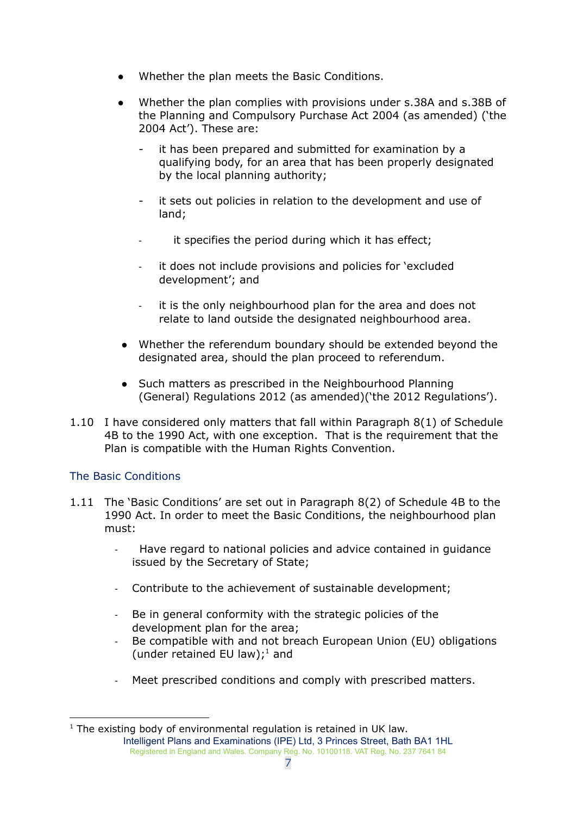- Whether the plan meets the Basic Conditions.
- Whether the plan complies with provisions under s.38A and s.38B of the Planning and Compulsory Purchase Act 2004 (as amended) ('the 2004 Act'). These are:
	- it has been prepared and submitted for examination by a qualifying body, for an area that has been properly designated by the local planning authority;
	- it sets out policies in relation to the development and use of land;
	- it specifies the period during which it has effect;
	- it does not include provisions and policies for 'excluded development'; and
	- it is the only neighbourhood plan for the area and does not relate to land outside the designated neighbourhood area.
- Whether the referendum boundary should be extended beyond the designated area, should the plan proceed to referendum.
- Such matters as prescribed in the Neighbourhood Planning (General) Regulations 2012 (as amended)('the 2012 Regulations').
- 1.10 I have considered only matters that fall within Paragraph 8(1) of Schedule 4B to the 1990 Act, with one exception. That is the requirement that the Plan is compatible with the Human Rights Convention.

## <span id="page-6-0"></span>The Basic Conditions

- 1.11 The 'Basic Conditions' are set out in Paragraph 8(2) of Schedule 4B to the 1990 Act. In order to meet the Basic Conditions, the neighbourhood plan must:
	- Have regard to national policies and advice contained in guidance issued by the Secretary of State;
	- Contribute to the achievement of sustainable development;
	- Be in general conformity with the strategic policies of the development plan for the area;
	- Be compatible with and not breach European Union (EU) obligations (under retained EU law);<sup>1</sup> and
	- Meet prescribed conditions and comply with prescribed matters.

 $1$  The existing body of environmental regulation is retained in UK law. Intelligent Plans and Examinations (IPE) Ltd, 3 Princes Street, Bath BA1 1HL Registered in England and Wales. Company Reg. No. 10100118. VAT Reg. No. 237 7641 84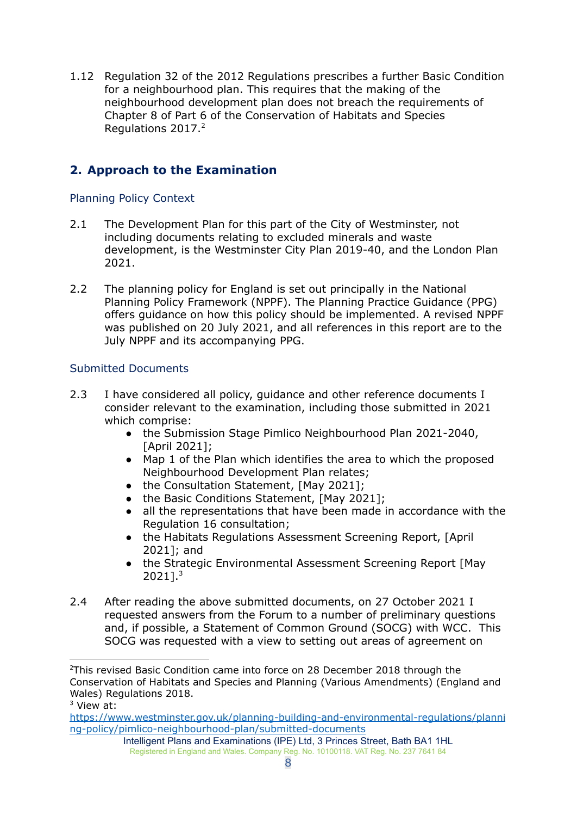1.12 Regulation 32 of the 2012 Regulations prescribes a further Basic Condition for a neighbourhood plan. This requires that the making of the neighbourhood development plan does not breach the requirements of Chapter 8 of Part 6 of the Conservation of Habitats and Species Regulations 2017. 2

# <span id="page-7-0"></span>**2. Approach to the Examination**

## <span id="page-7-1"></span>Planning Policy Context

- 2.1 The Development Plan for this part of the City of Westminster, not including documents relating to excluded minerals and waste development, is the Westminster City Plan 2019-40, and the London Plan 2021.
- 2.2 The planning policy for England is set out principally in the National Planning Policy Framework (NPPF). The Planning Practice Guidance (PPG) offers guidance on how this policy should be implemented. A revised NPPF was published on 20 July 2021, and all references in this report are to the July NPPF and its accompanying PPG.

## <span id="page-7-2"></span>Submitted Documents

- 2.3 I have considered all policy, quidance and other reference documents I consider relevant to the examination, including those submitted in 2021 which comprise:
	- the Submission Stage Pimlico Neighbourhood Plan 2021-2040, [April 2021];
	- Map 1 of the Plan which identifies the area to which the proposed Neighbourhood Development Plan relates;
	- the Consultation Statement, [May 2021];
	- the Basic Conditions Statement, [May 2021];
	- all the representations that have been made in accordance with the Regulation 16 consultation;
	- the Habitats Regulations Assessment Screening Report, [April 2021]; and
	- the Strategic Environmental Assessment Screening Report [May 2021]. 3
- 2.4 After reading the above submitted documents, on 27 October 2021 I requested answers from the Forum to a number of preliminary questions and, if possible, a Statement of Common Ground (SOCG) with WCC. This SOCG was requested with a view to setting out areas of agreement on

 $2$ This revised Basic Condition came into force on 28 December 2018 through the Conservation of Habitats and Species and Planning (Various Amendments) (England and Wales) Regulations 2018.

<sup>&</sup>lt;sup>3</sup> View at:

[https://www.westminster.gov.uk/planning-building-and-environmental-regulations/planni](https://www.westminster.gov.uk/planning-building-and-environmental-regulations/planning-policy/pimlico-neighbourhood-plan/submitted-documents) [ng-policy/pimlico-neighbourhood-plan/submitted-documents](https://www.westminster.gov.uk/planning-building-and-environmental-regulations/planning-policy/pimlico-neighbourhood-plan/submitted-documents)

Intelligent Plans and Examinations (IPE) Ltd, 3 Princes Street, Bath BA1 1HL Registered in England and Wales. Company Reg. No. 10100118. VAT Reg. No. 237 7641 84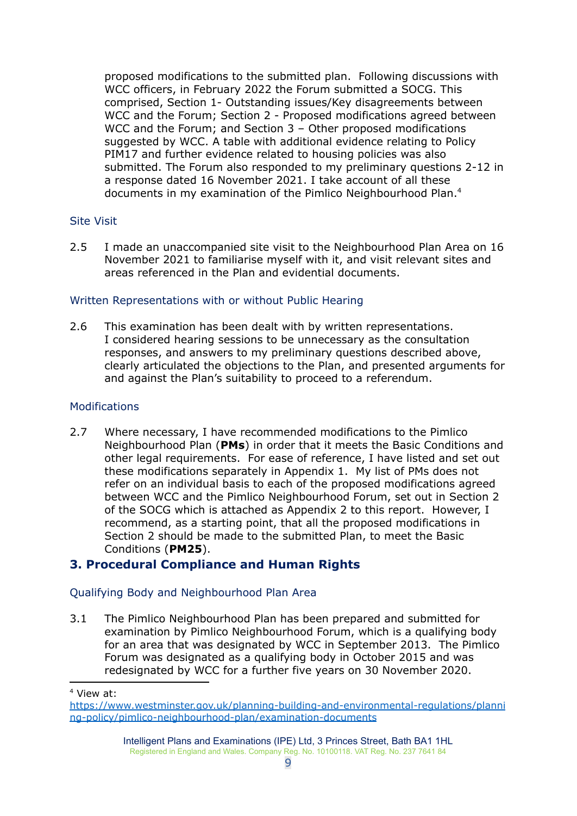proposed modifications to the submitted plan. Following discussions with WCC officers, in February 2022 the Forum submitted a SOCG. This comprised, Section 1- Outstanding issues/Key disagreements between WCC and the Forum; Section 2 - Proposed modifications agreed between WCC and the Forum; and Section 3 – Other proposed modifications suggested by WCC. A table with additional evidence relating to Policy PIM17 and further evidence related to housing policies was also submitted. The Forum also responded to my preliminary questions 2-12 in a response dated 16 November 2021. I take account of all these documents in my examination of the Pimlico Neighbourhood Plan. 4

## <span id="page-8-0"></span>Site Visit

2.5 I made an unaccompanied site visit to the Neighbourhood Plan Area on 16 November 2021 to familiarise myself with it, and visit relevant sites and areas referenced in the Plan and evidential documents.

## <span id="page-8-1"></span>Written Representations with or without Public Hearing

2.6 This examination has been dealt with by written representations. I considered hearing sessions to be unnecessary as the consultation responses, and answers to my preliminary questions described above, clearly articulated the objections to the Plan, and presented arguments for and against the Plan's suitability to proceed to a referendum.

#### <span id="page-8-2"></span>**Modifications**

2.7 Where necessary, I have recommended modifications to the Pimlico Neighbourhood Plan (**PMs**) in order that it meets the Basic Conditions and other legal requirements. For ease of reference, I have listed and set out these modifications separately in Appendix 1. My list of PMs does not refer on an individual basis to each of the proposed modifications agreed between WCC and the Pimlico Neighbourhood Forum, set out in Section 2 of the SOCG which is attached as Appendix 2 to this report. However, I recommend, as a starting point, that all the proposed modifications in Section 2 should be made to the submitted Plan, to meet the Basic Conditions (**PM25**).

## <span id="page-8-3"></span>**3. Procedural Compliance and Human Rights**

## <span id="page-8-4"></span>Qualifying Body and Neighbourhood Plan Area

3.1 The Pimlico Neighbourhood Plan has been prepared and submitted for examination by Pimlico Neighbourhood Forum, which is a qualifying body for an area that was designated by WCC in September 2013. The Pimlico Forum was designated as a qualifying body in October 2015 and was redesignated by WCC for a further five years on 30 November 2020.

<sup>4</sup> View at:

[https://www.westminster.gov.uk/planning-building-and-environmental-regulations/planni](https://www.westminster.gov.uk/planning-building-and-environmental-regulations/planning-policy/pimlico-neighbourhood-plan/examination-documents) [ng-policy/pimlico-neighbourhood-plan/examination-documents](https://www.westminster.gov.uk/planning-building-and-environmental-regulations/planning-policy/pimlico-neighbourhood-plan/examination-documents)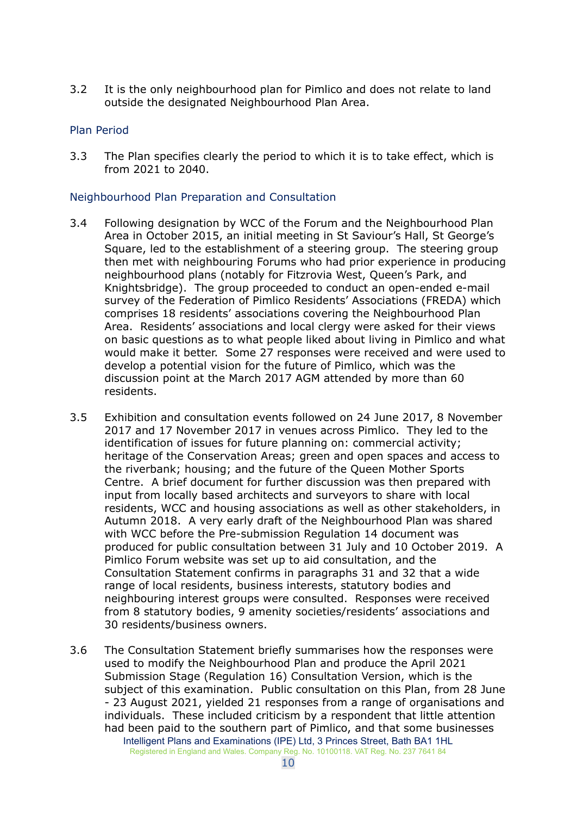3.2 It is the only neighbourhood plan for Pimlico and does not relate to land outside the designated Neighbourhood Plan Area.

## <span id="page-9-0"></span>Plan Period

3.3 The Plan specifies clearly the period to which it is to take effect, which is from 2021 to 2040.

## <span id="page-9-1"></span>Neighbourhood Plan Preparation and Consultation

- 3.4 Following designation by WCC of the Forum and the Neighbourhood Plan Area in October 2015, an initial meeting in St Saviour's Hall, St George's Square, led to the establishment of a steering group. The steering group then met with neighbouring Forums who had prior experience in producing neighbourhood plans (notably for Fitzrovia West, Queen's Park, and Knightsbridge). The group proceeded to conduct an open-ended e-mail survey of the Federation of Pimlico Residents' Associations (FREDA) which comprises 18 residents' associations covering the Neighbourhood Plan Area. Residents' associations and local clergy were asked for their views on basic questions as to what people liked about living in Pimlico and what would make it better. Some 27 responses were received and were used to develop a potential vision for the future of Pimlico, which was the discussion point at the March 2017 AGM attended by more than 60 residents.
- 3.5 Exhibition and consultation events followed on 24 June 2017, 8 November 2017 and 17 November 2017 in venues across Pimlico. They led to the identification of issues for future planning on: commercial activity; heritage of the Conservation Areas; green and open spaces and access to the riverbank; housing; and the future of the Queen Mother Sports Centre. A brief document for further discussion was then prepared with input from locally based architects and surveyors to share with local residents, WCC and housing associations as well as other stakeholders, in Autumn 2018. A very early draft of the Neighbourhood Plan was shared with WCC before the Pre-submission Regulation 14 document was produced for public consultation between 31 July and 10 October 2019. A Pimlico Forum website was set up to aid consultation, and the Consultation Statement confirms in paragraphs 31 and 32 that a wide range of local residents, business interests, statutory bodies and neighbouring interest groups were consulted. Responses were received from 8 statutory bodies, 9 amenity societies/residents' associations and 30 residents/business owners.
- 3.6 The Consultation Statement briefly summarises how the responses were used to modify the Neighbourhood Plan and produce the April 2021 Submission Stage (Regulation 16) Consultation Version, which is the subject of this examination. Public consultation on this Plan, from 28 June - 23 August 2021, yielded 21 responses from a range of organisations and individuals. These included criticism by a respondent that little attention had been paid to the southern part of Pimlico, and that some businesses Intelligent Plans and Examinations (IPE) Ltd, 3 Princes Street, Bath BA1 1HL Registered in England and Wales. Company Reg. No. 10100118. VAT Reg. No. 237 7641 84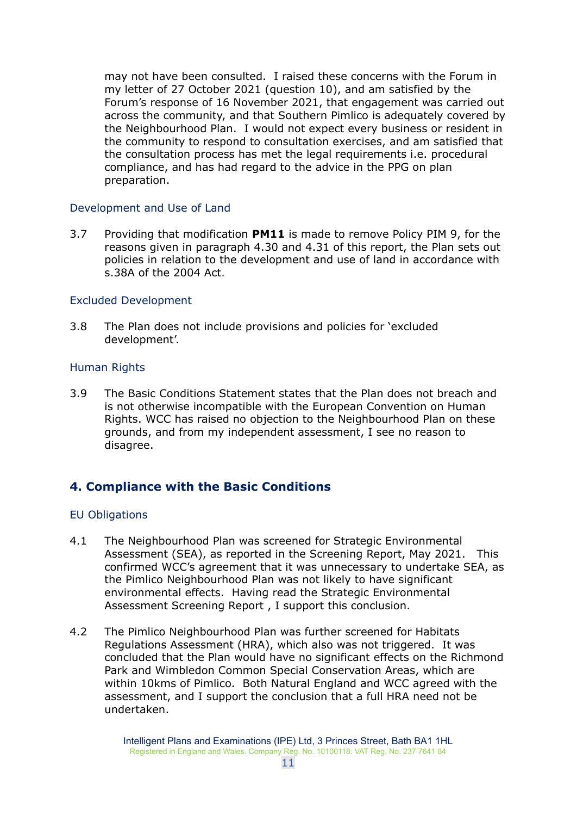may not have been consulted. I raised these concerns with the Forum in my letter of 27 October 2021 (question 10), and am satisfied by the Forum's response of 16 November 2021, that engagement was carried out across the community, and that Southern Pimlico is adequately covered by the Neighbourhood Plan. I would not expect every business or resident in the community to respond to consultation exercises, and am satisfied that the consultation process has met the legal requirements i.e. procedural compliance, and has had regard to the advice in the PPG on plan preparation.

## <span id="page-10-0"></span>Development and Use of Land

3.7 Providing that modification **PM11** is made to remove Policy PIM 9, for the reasons given in paragraph 4.30 and 4.31 of this report, the Plan sets out policies in relation to the development and use of land in accordance with s.38A of the 2004 Act.

## <span id="page-10-1"></span>Excluded Development

3.8 The Plan does not include provisions and policies for 'excluded development'.

## <span id="page-10-2"></span>Human Rights

3.9 The Basic Conditions Statement states that the Plan does not breach and is not otherwise incompatible with the European Convention on Human Rights. WCC has raised no objection to the Neighbourhood Plan on these grounds, and from my independent assessment, I see no reason to disagree.

## <span id="page-10-3"></span>**4. Compliance with the Basic Conditions**

#### <span id="page-10-4"></span>EU Obligations

- 4.1 The Neighbourhood Plan was screened for Strategic Environmental Assessment (SEA), as reported in the Screening Report, May 2021. This confirmed WCC's agreement that it was unnecessary to undertake SEA, as the Pimlico Neighbourhood Plan was not likely to have significant environmental effects. Having read the Strategic Environmental Assessment Screening Report , I support this conclusion.
- 4.2 The Pimlico Neighbourhood Plan was further screened for Habitats Regulations Assessment (HRA), which also was not triggered. It was concluded that the Plan would have no significant effects on the Richmond Park and Wimbledon Common Special Conservation Areas, which are within 10kms of Pimlico. Both Natural England and WCC agreed with the assessment, and I support the conclusion that a full HRA need not be undertaken.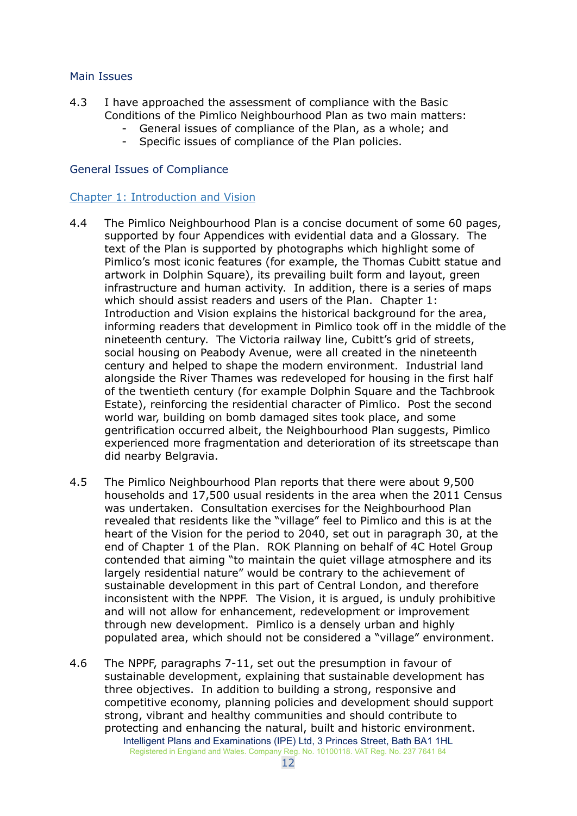## <span id="page-11-0"></span>Main Issues

- 4.3 I have approached the assessment of compliance with the Basic Conditions of the Pimlico Neighbourhood Plan as two main matters:
	- General issues of compliance of the Plan, as a whole; and
		- Specific issues of compliance of the Plan policies.

## <span id="page-11-1"></span>General Issues of Compliance

## <span id="page-11-2"></span>Chapter 1: Introduction and Vision

- 4.4 The Pimlico Neighbourhood Plan is a concise document of some 60 pages, supported by four Appendices with evidential data and a Glossary. The text of the Plan is supported by photographs which highlight some of Pimlico's most iconic features (for example, the Thomas Cubitt statue and artwork in Dolphin Square), its prevailing built form and layout, green infrastructure and human activity. In addition, there is a series of maps which should assist readers and users of the Plan. Chapter 1: Introduction and Vision explains the historical background for the area, informing readers that development in Pimlico took off in the middle of the nineteenth century. The Victoria railway line, Cubitt's grid of streets, social housing on Peabody Avenue, were all created in the nineteenth century and helped to shape the modern environment. Industrial land alongside the River Thames was redeveloped for housing in the first half of the twentieth century (for example Dolphin Square and the Tachbrook Estate), reinforcing the residential character of Pimlico. Post the second world war, building on bomb damaged sites took place, and some gentrification occurred albeit, the Neighbourhood Plan suggests, Pimlico experienced more fragmentation and deterioration of its streetscape than did nearby Belgravia.
- 4.5 The Pimlico Neighbourhood Plan reports that there were about 9,500 households and 17,500 usual residents in the area when the 2011 Census was undertaken. Consultation exercises for the Neighbourhood Plan revealed that residents like the "village" feel to Pimlico and this is at the heart of the Vision for the period to 2040, set out in paragraph 30, at the end of Chapter 1 of the Plan. ROK Planning on behalf of 4C Hotel Group contended that aiming "to maintain the quiet village atmosphere and its largely residential nature" would be contrary to the achievement of sustainable development in this part of Central London, and therefore inconsistent with the NPPF. The Vision, it is argued, is unduly prohibitive and will not allow for enhancement, redevelopment or improvement through new development. Pimlico is a densely urban and highly populated area, which should not be considered a "village" environment.
- 4.6 The NPPF, paragraphs 7-11, set out the presumption in favour of sustainable development, explaining that sustainable development has three objectives. In addition to building a strong, responsive and competitive economy, planning policies and development should support strong, vibrant and healthy communities and should contribute to protecting and enhancing the natural, built and historic environment. Intelligent Plans and Examinations (IPE) Ltd, 3 Princes Street, Bath BA1 1HL Registered in England and Wales. Company Reg. No. 10100118. VAT Reg. No. 237 7641 84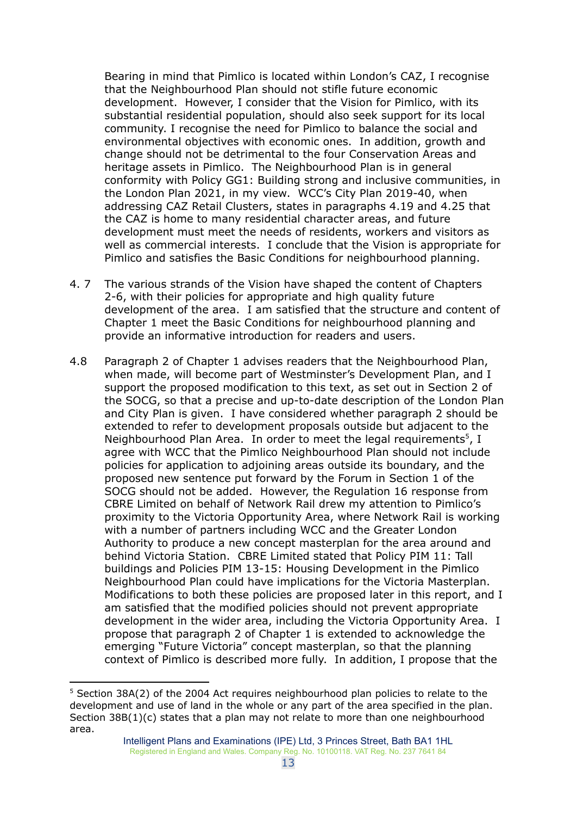Bearing in mind that Pimlico is located within London's CAZ, I recognise that the Neighbourhood Plan should not stifle future economic development. However, I consider that the Vision for Pimlico, with its substantial residential population, should also seek support for its local community. I recognise the need for Pimlico to balance the social and environmental objectives with economic ones. In addition, growth and change should not be detrimental to the four Conservation Areas and heritage assets in Pimlico. The Neighbourhood Plan is in general conformity with Policy GG1: Building strong and inclusive communities, in the London Plan 2021, in my view. WCC's City Plan 2019-40, when addressing CAZ Retail Clusters, states in paragraphs 4.19 and 4.25 that the CAZ is home to many residential character areas, and future development must meet the needs of residents, workers and visitors as well as commercial interests. I conclude that the Vision is appropriate for Pimlico and satisfies the Basic Conditions for neighbourhood planning.

- 4. 7 The various strands of the Vision have shaped the content of Chapters 2-6, with their policies for appropriate and high quality future development of the area. I am satisfied that the structure and content of Chapter 1 meet the Basic Conditions for neighbourhood planning and provide an informative introduction for readers and users.
- 4.8 Paragraph 2 of Chapter 1 advises readers that the Neighbourhood Plan, when made, will become part of Westminster's Development Plan, and I support the proposed modification to this text, as set out in Section 2 of the SOCG, so that a precise and up-to-date description of the London Plan and City Plan is given. I have considered whether paragraph 2 should be extended to refer to development proposals outside but adjacent to the Neighbourhood Plan Area. In order to meet the legal requirements<sup>5</sup>, I agree with WCC that the Pimlico Neighbourhood Plan should not include policies for application to adjoining areas outside its boundary, and the proposed new sentence put forward by the Forum in Section 1 of the SOCG should not be added. However, the Regulation 16 response from CBRE Limited on behalf of Network Rail drew my attention to Pimlico's proximity to the Victoria Opportunity Area, where Network Rail is working with a number of partners including WCC and the Greater London Authority to produce a new concept masterplan for the area around and behind Victoria Station. CBRE Limited stated that Policy PIM 11: Tall buildings and Policies PIM 13-15: Housing Development in the Pimlico Neighbourhood Plan could have implications for the Victoria Masterplan. Modifications to both these policies are proposed later in this report, and I am satisfied that the modified policies should not prevent appropriate development in the wider area, including the Victoria Opportunity Area. I propose that paragraph 2 of Chapter 1 is extended to acknowledge the emerging "Future Victoria" concept masterplan, so that the planning context of Pimlico is described more fully. In addition, I propose that the

<sup>&</sup>lt;sup>5</sup> Section 38A(2) of the 2004 Act requires neighbourhood plan policies to relate to the development and use of land in the whole or any part of the area specified in the plan. Section  $38B(1)(c)$  states that a plan may not relate to more than one neighbourhood area.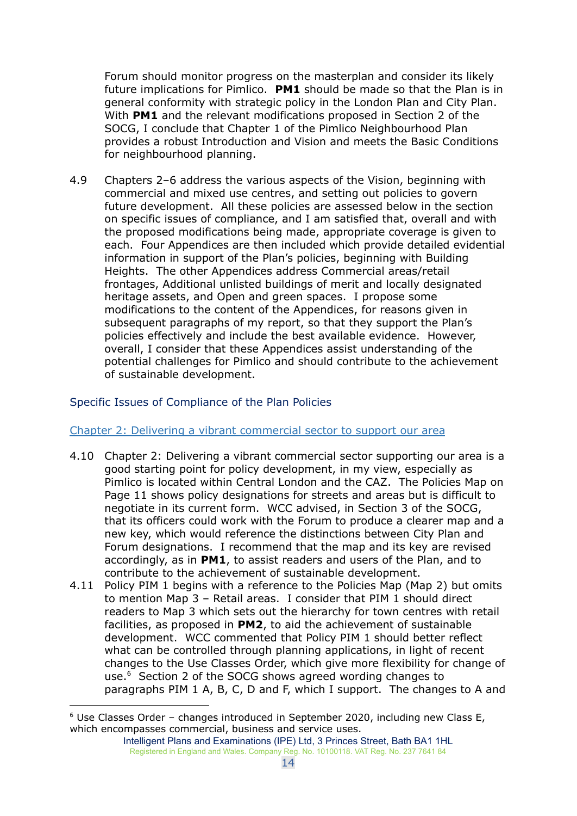Forum should monitor progress on the masterplan and consider its likely future implications for Pimlico. **PM1** should be made so that the Plan is in general conformity with strategic policy in the London Plan and City Plan. With **PM1** and the relevant modifications proposed in Section 2 of the SOCG, I conclude that Chapter 1 of the Pimlico Neighbourhood Plan provides a robust Introduction and Vision and meets the Basic Conditions for neighbourhood planning.

4.9 Chapters 2–6 address the various aspects of the Vision, beginning with commercial and mixed use centres, and setting out policies to govern future development. All these policies are assessed below in the section on specific issues of compliance, and I am satisfied that, overall and with the proposed modifications being made, appropriate coverage is given to each. Four Appendices are then included which provide detailed evidential information in support of the Plan's policies, beginning with Building Heights. The other Appendices address Commercial areas/retail frontages, Additional unlisted buildings of merit and locally designated heritage assets, and Open and green spaces. I propose some modifications to the content of the Appendices, for reasons given in subsequent paragraphs of my report, so that they support the Plan's policies effectively and include the best available evidence. However, overall, I consider that these Appendices assist understanding of the potential challenges for Pimlico and should contribute to the achievement of sustainable development.

## <span id="page-13-0"></span>Specific Issues of Compliance of the Plan Policies

#### <span id="page-13-1"></span>Chapter 2: Delivering a vibrant commercial sector to support our area

- 4.10 Chapter 2: Delivering a vibrant commercial sector supporting our area is a good starting point for policy development, in my view, especially as Pimlico is located within Central London and the CAZ. The Policies Map on Page 11 shows policy designations for streets and areas but is difficult to negotiate in its current form. WCC advised, in Section 3 of the SOCG, that its officers could work with the Forum to produce a clearer map and a new key, which would reference the distinctions between City Plan and Forum designations. I recommend that the map and its key are revised accordingly, as in **PM1**, to assist readers and users of the Plan, and to contribute to the achievement of sustainable development.
- 4.11 Policy PIM 1 begins with a reference to the Policies Map (Map 2) but omits to mention Map 3 – Retail areas. I consider that PIM 1 should direct readers to Map 3 which sets out the hierarchy for town centres with retail facilities, as proposed in **PM2**, to aid the achievement of sustainable development. WCC commented that Policy PIM 1 should better reflect what can be controlled through planning applications, in light of recent changes to the Use Classes Order, which give more flexibility for change of use. <sup>6</sup> Section 2 of the SOCG shows agreed wording changes to paragraphs PIM 1 A, B, C, D and F, which I support. The changes to A and

 $6$  Use Classes Order – changes introduced in September 2020, including new Class E, which encompasses commercial, business and service uses.

Intelligent Plans and Examinations (IPE) Ltd, 3 Princes Street, Bath BA1 1HL Registered in England and Wales. Company Reg. No. 10100118. VAT Reg. No. 237 7641 84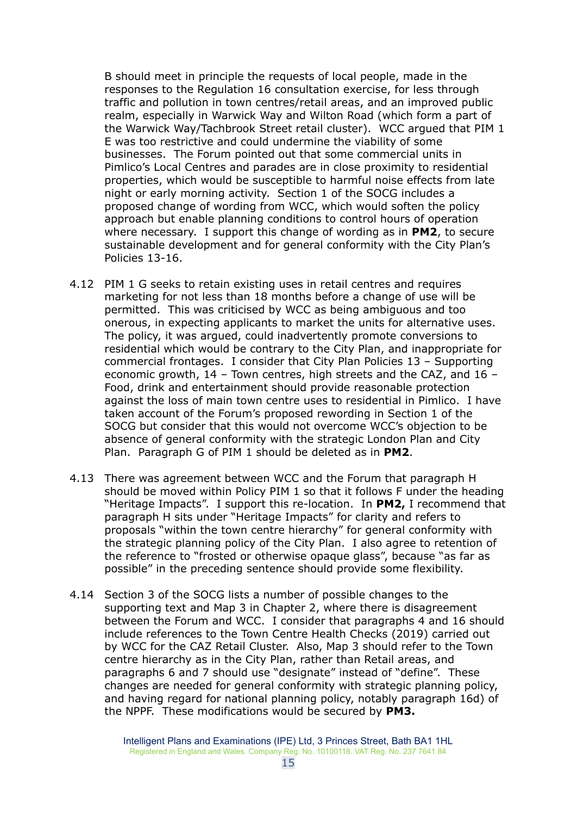B should meet in principle the requests of local people, made in the responses to the Regulation 16 consultation exercise, for less through traffic and pollution in town centres/retail areas, and an improved public realm, especially in Warwick Way and Wilton Road (which form a part of the Warwick Way/Tachbrook Street retail cluster). WCC argued that PIM 1 E was too restrictive and could undermine the viability of some businesses. The Forum pointed out that some commercial units in Pimlico's Local Centres and parades are in close proximity to residential properties, which would be susceptible to harmful noise effects from late night or early morning activity. Section 1 of the SOCG includes a proposed change of wording from WCC, which would soften the policy approach but enable planning conditions to control hours of operation where necessary. I support this change of wording as in **PM2**, to secure sustainable development and for general conformity with the City Plan's Policies 13-16.

- 4.12 PIM 1 G seeks to retain existing uses in retail centres and requires marketing for not less than 18 months before a change of use will be permitted. This was criticised by WCC as being ambiguous and too onerous, in expecting applicants to market the units for alternative uses. The policy, it was argued, could inadvertently promote conversions to residential which would be contrary to the City Plan, and inappropriate for commercial frontages. I consider that City Plan Policies 13 – Supporting economic growth, 14 – Town centres, high streets and the CAZ, and 16 – Food, drink and entertainment should provide reasonable protection against the loss of main town centre uses to residential in Pimlico. I have taken account of the Forum's proposed rewording in Section 1 of the SOCG but consider that this would not overcome WCC's objection to be absence of general conformity with the strategic London Plan and City Plan. Paragraph G of PIM 1 should be deleted as in **PM2**.
- 4.13 There was agreement between WCC and the Forum that paragraph H should be moved within Policy PIM 1 so that it follows F under the heading "Heritage Impacts". I support this re-location. In **PM2,** I recommend that paragraph H sits under "Heritage Impacts" for clarity and refers to proposals "within the town centre hierarchy" for general conformity with the strategic planning policy of the City Plan. I also agree to retention of the reference to "frosted or otherwise opaque glass", because "as far as possible" in the preceding sentence should provide some flexibility.
- 4.14 Section 3 of the SOCG lists a number of possible changes to the supporting text and Map 3 in Chapter 2, where there is disagreement between the Forum and WCC. I consider that paragraphs 4 and 16 should include references to the Town Centre Health Checks (2019) carried out by WCC for the CAZ Retail Cluster. Also, Map 3 should refer to the Town centre hierarchy as in the City Plan, rather than Retail areas, and paragraphs 6 and 7 should use "designate" instead of "define". These changes are needed for general conformity with strategic planning policy, and having regard for national planning policy, notably paragraph 16d) of the NPPF. These modifications would be secured by **PM3.**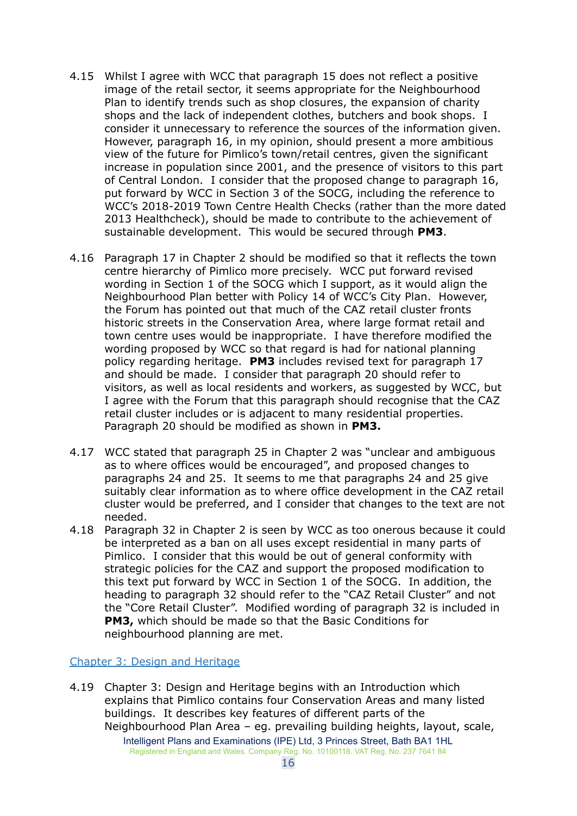- 4.15 Whilst I agree with WCC that paragraph 15 does not reflect a positive image of the retail sector, it seems appropriate for the Neighbourhood Plan to identify trends such as shop closures, the expansion of charity shops and the lack of independent clothes, butchers and book shops. I consider it unnecessary to reference the sources of the information given. However, paragraph 16, in my opinion, should present a more ambitious view of the future for Pimlico's town/retail centres, given the significant increase in population since 2001, and the presence of visitors to this part of Central London. I consider that the proposed change to paragraph 16, put forward by WCC in Section 3 of the SOCG, including the reference to WCC's 2018-2019 Town Centre Health Checks (rather than the more dated 2013 Healthcheck), should be made to contribute to the achievement of sustainable development. This would be secured through **PM3**.
- 4.16 Paragraph 17 in Chapter 2 should be modified so that it reflects the town centre hierarchy of Pimlico more precisely. WCC put forward revised wording in Section 1 of the SOCG which I support, as it would align the Neighbourhood Plan better with Policy 14 of WCC's City Plan. However, the Forum has pointed out that much of the CAZ retail cluster fronts historic streets in the Conservation Area, where large format retail and town centre uses would be inappropriate. I have therefore modified the wording proposed by WCC so that regard is had for national planning policy regarding heritage. **PM3** includes revised text for paragraph 17 and should be made. I consider that paragraph 20 should refer to visitors, as well as local residents and workers, as suggested by WCC, but I agree with the Forum that this paragraph should recognise that the CAZ retail cluster includes or is adjacent to many residential properties. Paragraph 20 should be modified as shown in **PM3.**
- 4.17 WCC stated that paragraph 25 in Chapter 2 was "unclear and ambiguous as to where offices would be encouraged", and proposed changes to paragraphs 24 and 25. It seems to me that paragraphs 24 and 25 give suitably clear information as to where office development in the CAZ retail cluster would be preferred, and I consider that changes to the text are not needed.
- 4.18 Paragraph 32 in Chapter 2 is seen by WCC as too onerous because it could be interpreted as a ban on all uses except residential in many parts of Pimlico. I consider that this would be out of general conformity with strategic policies for the CAZ and support the proposed modification to this text put forward by WCC in Section 1 of the SOCG. In addition, the heading to paragraph 32 should refer to the "CAZ Retail Cluster" and not the "Core Retail Cluster". Modified wording of paragraph 32 is included in **PM3,** which should be made so that the Basic Conditions for neighbourhood planning are met.

#### <span id="page-15-0"></span>Chapter 3: Design and Heritage

4.19 Chapter 3: Design and Heritage begins with an Introduction which explains that Pimlico contains four Conservation Areas and many listed buildings. It describes key features of different parts of the Neighbourhood Plan Area – eg. prevailing building heights, layout, scale, Intelligent Plans and Examinations (IPE) Ltd, 3 Princes Street, Bath BA1 1HL Registered in England and Wales. Company Reg. No. 10100118. VAT Reg. No. 237 7641 84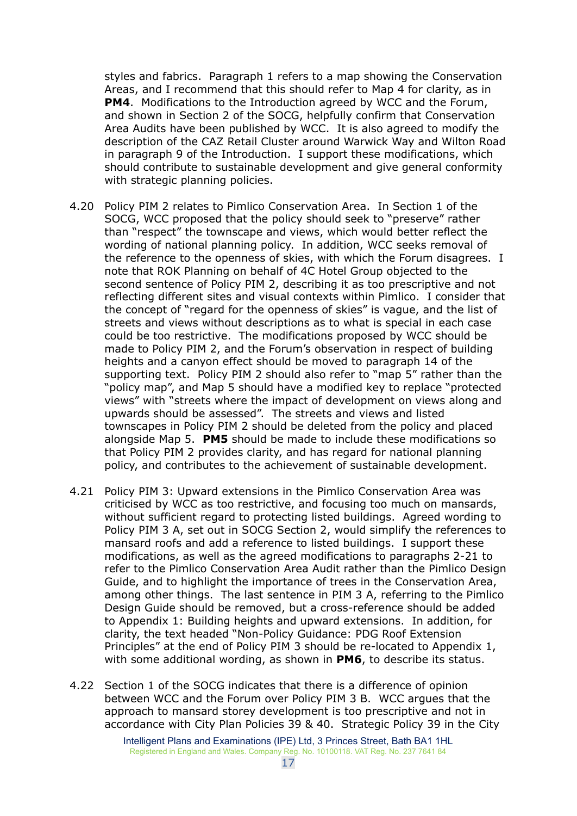styles and fabrics. Paragraph 1 refers to a map showing the Conservation Areas, and I recommend that this should refer to Map 4 for clarity, as in **PM4**. Modifications to the Introduction agreed by WCC and the Forum, and shown in Section 2 of the SOCG, helpfully confirm that Conservation Area Audits have been published by WCC. It is also agreed to modify the description of the CAZ Retail Cluster around Warwick Way and Wilton Road in paragraph 9 of the Introduction. I support these modifications, which should contribute to sustainable development and give general conformity with strategic planning policies.

- 4.20 Policy PIM 2 relates to Pimlico Conservation Area. In Section 1 of the SOCG, WCC proposed that the policy should seek to "preserve" rather than "respect" the townscape and views, which would better reflect the wording of national planning policy. In addition, WCC seeks removal of the reference to the openness of skies, with which the Forum disagrees. I note that ROK Planning on behalf of 4C Hotel Group objected to the second sentence of Policy PIM 2, describing it as too prescriptive and not reflecting different sites and visual contexts within Pimlico. I consider that the concept of "regard for the openness of skies" is vague, and the list of streets and views without descriptions as to what is special in each case could be too restrictive. The modifications proposed by WCC should be made to Policy PIM 2, and the Forum's observation in respect of building heights and a canyon effect should be moved to paragraph 14 of the supporting text. Policy PIM 2 should also refer to "map 5" rather than the "policy map", and Map 5 should have a modified key to replace "protected views" with "streets where the impact of development on views along and upwards should be assessed". The streets and views and listed townscapes in Policy PIM 2 should be deleted from the policy and placed alongside Map 5. **PM5** should be made to include these modifications so that Policy PIM 2 provides clarity, and has regard for national planning policy, and contributes to the achievement of sustainable development.
- 4.21 Policy PIM 3: Upward extensions in the Pimlico Conservation Area was criticised by WCC as too restrictive, and focusing too much on mansards, without sufficient regard to protecting listed buildings. Agreed wording to Policy PIM 3 A, set out in SOCG Section 2, would simplify the references to mansard roofs and add a reference to listed buildings. I support these modifications, as well as the agreed modifications to paragraphs 2-21 to refer to the Pimlico Conservation Area Audit rather than the Pimlico Design Guide, and to highlight the importance of trees in the Conservation Area, among other things. The last sentence in PIM 3 A, referring to the Pimlico Design Guide should be removed, but a cross-reference should be added to Appendix 1: Building heights and upward extensions. In addition, for clarity, the text headed "Non-Policy Guidance: PDG Roof Extension Principles" at the end of Policy PIM 3 should be re-located to Appendix 1, with some additional wording, as shown in **PM6**, to describe its status.
- 4.22 Section 1 of the SOCG indicates that there is a difference of opinion between WCC and the Forum over Policy PIM 3 B. WCC argues that the approach to mansard storey development is too prescriptive and not in accordance with City Plan Policies 39 & 40. Strategic Policy 39 in the City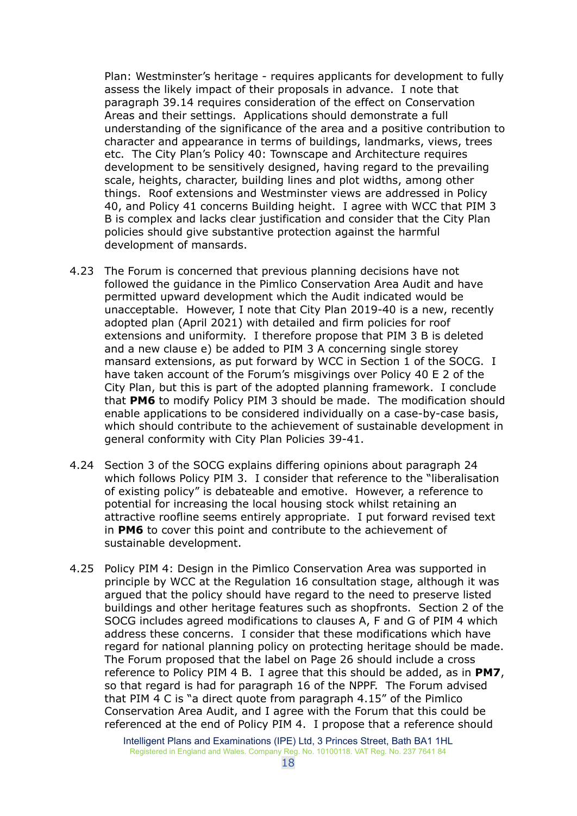Plan: Westminster's heritage - requires applicants for development to fully assess the likely impact of their proposals in advance. I note that paragraph 39.14 requires consideration of the effect on Conservation Areas and their settings. Applications should demonstrate a full understanding of the significance of the area and a positive contribution to character and appearance in terms of buildings, landmarks, views, trees etc. The City Plan's Policy 40: Townscape and Architecture requires development to be sensitively designed, having regard to the prevailing scale, heights, character, building lines and plot widths, among other things. Roof extensions and Westminster views are addressed in Policy 40, and Policy 41 concerns Building height. I agree with WCC that PIM 3 B is complex and lacks clear justification and consider that the City Plan policies should give substantive protection against the harmful development of mansards.

- 4.23 The Forum is concerned that previous planning decisions have not followed the guidance in the Pimlico Conservation Area Audit and have permitted upward development which the Audit indicated would be unacceptable. However, I note that City Plan 2019-40 is a new, recently adopted plan (April 2021) with detailed and firm policies for roof extensions and uniformity. I therefore propose that PIM 3 B is deleted and a new clause e) be added to PIM 3 A concerning single storey mansard extensions, as put forward by WCC in Section 1 of the SOCG. I have taken account of the Forum's misgivings over Policy 40 E 2 of the City Plan, but this is part of the adopted planning framework. I conclude that **PM6** to modify Policy PIM 3 should be made. The modification should enable applications to be considered individually on a case-by-case basis, which should contribute to the achievement of sustainable development in general conformity with City Plan Policies 39-41.
- 4.24 Section 3 of the SOCG explains differing opinions about paragraph 24 which follows Policy PIM 3. I consider that reference to the "liberalisation of existing policy" is debateable and emotive. However, a reference to potential for increasing the local housing stock whilst retaining an attractive roofline seems entirely appropriate. I put forward revised text in **PM6** to cover this point and contribute to the achievement of sustainable development.
- 4.25 Policy PIM 4: Design in the Pimlico Conservation Area was supported in principle by WCC at the Regulation 16 consultation stage, although it was argued that the policy should have regard to the need to preserve listed buildings and other heritage features such as shopfronts. Section 2 of the SOCG includes agreed modifications to clauses A, F and G of PIM 4 which address these concerns. I consider that these modifications which have regard for national planning policy on protecting heritage should be made. The Forum proposed that the label on Page 26 should include a cross reference to Policy PIM 4 B. I agree that this should be added, as in **PM7**, so that regard is had for paragraph 16 of the NPPF. The Forum advised that PIM 4 C is "a direct quote from paragraph 4.15" of the Pimlico Conservation Area Audit, and I agree with the Forum that this could be referenced at the end of Policy PIM 4. I propose that a reference should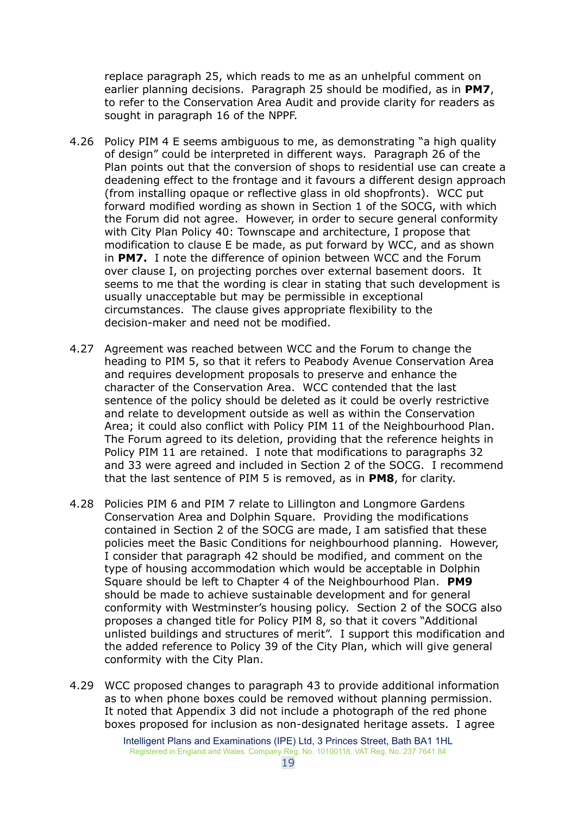replace paragraph 25, which reads to me as an unhelpful comment on earlier planning decisions. Paragraph 25 should be modified, as in **PM7**, to refer to the Conservation Area Audit and provide clarity for readers as sought in paragraph 16 of the NPPF.

- 4.26 Policy PIM 4 E seems ambiguous to me, as demonstrating "a high quality of design" could be interpreted in different ways. Paragraph 26 of the Plan points out that the conversion of shops to residential use can create a deadening effect to the frontage and it favours a different design approach (from installing opaque or reflective glass in old shopfronts). WCC put forward modified wording as shown in Section 1 of the SOCG, with which the Forum did not agree. However, in order to secure general conformity with City Plan Policy 40: Townscape and architecture, I propose that modification to clause E be made, as put forward by WCC, and as shown in **PM7.** I note the difference of opinion between WCC and the Forum over clause I, on projecting porches over external basement doors. It seems to me that the wording is clear in stating that such development is usually unacceptable but may be permissible in exceptional circumstances. The clause gives appropriate flexibility to the decision-maker and need not be modified.
- 4.27 Agreement was reached between WCC and the Forum to change the heading to PIM 5, so that it refers to Peabody Avenue Conservation Area and requires development proposals to preserve and enhance the character of the Conservation Area. WCC contended that the last sentence of the policy should be deleted as it could be overly restrictive and relate to development outside as well as within the Conservation Area; it could also conflict with Policy PIM 11 of the Neighbourhood Plan. The Forum agreed to its deletion, providing that the reference heights in Policy PIM 11 are retained. I note that modifications to paragraphs 32 and 33 were agreed and included in Section 2 of the SOCG. I recommend that the last sentence of PIM 5 is removed, as in **PM8**, for clarity.
- 4.28 Policies PIM 6 and PIM 7 relate to Lillington and Longmore Gardens Conservation Area and Dolphin Square. Providing the modifications contained in Section 2 of the SOCG are made, I am satisfied that these policies meet the Basic Conditions for neighbourhood planning. However, I consider that paragraph 42 should be modified, and comment on the type of housing accommodation which would be acceptable in Dolphin Square should be left to Chapter 4 of the Neighbourhood Plan. **PM9** should be made to achieve sustainable development and for general conformity with Westminster's housing policy. Section 2 of the SOCG also proposes a changed title for Policy PIM 8, so that it covers "Additional unlisted buildings and structures of merit". I support this modification and the added reference to Policy 39 of the City Plan, which will give general conformity with the City Plan.
- 4.29 WCC proposed changes to paragraph 43 to provide additional information as to when phone boxes could be removed without planning permission. It noted that Appendix 3 did not include a photograph of the red phone boxes proposed for inclusion as non-designated heritage assets. I agree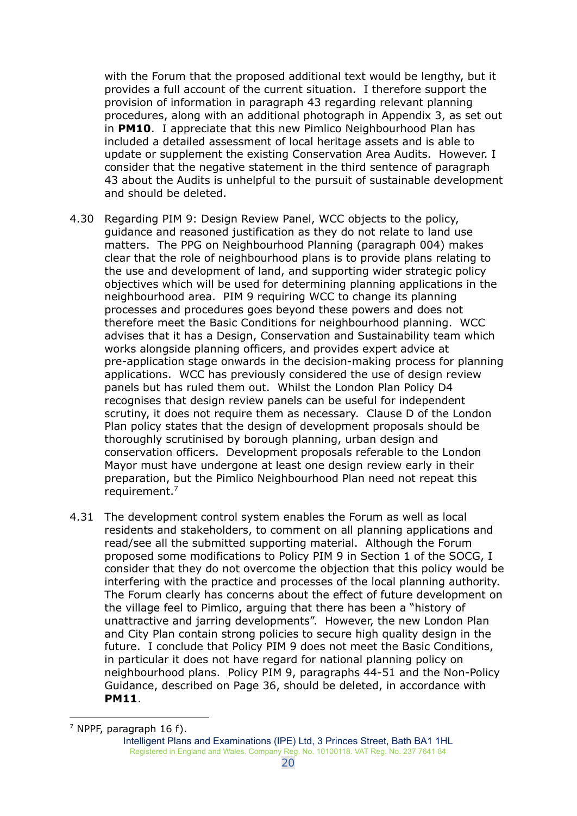with the Forum that the proposed additional text would be lengthy, but it provides a full account of the current situation. I therefore support the provision of information in paragraph 43 regarding relevant planning procedures, along with an additional photograph in Appendix 3, as set out in **PM10**. I appreciate that this new Pimlico Neighbourhood Plan has included a detailed assessment of local heritage assets and is able to update or supplement the existing Conservation Area Audits. However. I consider that the negative statement in the third sentence of paragraph 43 about the Audits is unhelpful to the pursuit of sustainable development and should be deleted.

- 4.30 Regarding PIM 9: Design Review Panel, WCC objects to the policy, guidance and reasoned justification as they do not relate to land use matters. The PPG on Neighbourhood Planning (paragraph 004) makes clear that the role of neighbourhood plans is to provide plans relating to the use and development of land, and supporting wider strategic policy objectives which will be used for determining planning applications in the neighbourhood area. PIM 9 requiring WCC to change its planning processes and procedures goes beyond these powers and does not therefore meet the Basic Conditions for neighbourhood planning. WCC advises that it has a Design, Conservation and Sustainability team which works alongside planning officers, and provides expert advice at pre-application stage onwards in the decision-making process for planning applications. WCC has previously considered the use of design review panels but has ruled them out. Whilst the London Plan Policy D4 recognises that design review panels can be useful for independent scrutiny, it does not require them as necessary. Clause D of the London Plan policy states that the design of development proposals should be thoroughly scrutinised by borough planning, urban design and conservation officers. Development proposals referable to the London Mayor must have undergone at least one design review early in their preparation, but the Pimlico Neighbourhood Plan need not repeat this requirement. 7
- 4.31 The development control system enables the Forum as well as local residents and stakeholders, to comment on all planning applications and read/see all the submitted supporting material. Although the Forum proposed some modifications to Policy PIM 9 in Section 1 of the SOCG, I consider that they do not overcome the objection that this policy would be interfering with the practice and processes of the local planning authority. The Forum clearly has concerns about the effect of future development on the village feel to Pimlico, arguing that there has been a "history of unattractive and jarring developments". However, the new London Plan and City Plan contain strong policies to secure high quality design in the future. I conclude that Policy PIM 9 does not meet the Basic Conditions, in particular it does not have regard for national planning policy on neighbourhood plans. Policy PIM 9, paragraphs 44-51 and the Non-Policy Guidance, described on Page 36, should be deleted, in accordance with **PM11**.

 $<sup>7</sup>$  NPPF, paragraph 16 f).</sup>

Intelligent Plans and Examinations (IPE) Ltd, 3 Princes Street, Bath BA1 1HL Registered in England and Wales. Company Reg. No. 10100118. VAT Reg. No. 237 7641 84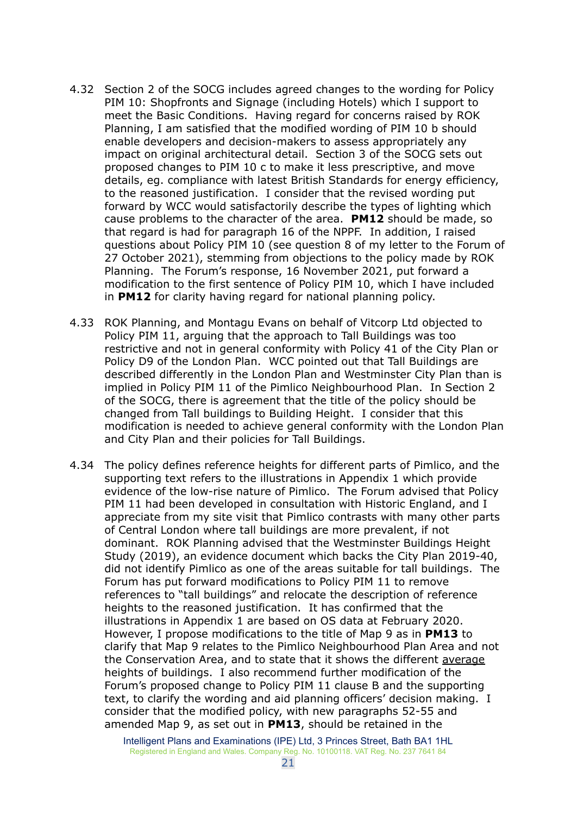- 4.32 Section 2 of the SOCG includes agreed changes to the wording for Policy PIM 10: Shopfronts and Signage (including Hotels) which I support to meet the Basic Conditions. Having regard for concerns raised by ROK Planning, I am satisfied that the modified wording of PIM 10 b should enable developers and decision-makers to assess appropriately any impact on original architectural detail. Section 3 of the SOCG sets out proposed changes to PIM 10 c to make it less prescriptive, and move details, eg. compliance with latest British Standards for energy efficiency, to the reasoned justification. I consider that the revised wording put forward by WCC would satisfactorily describe the types of lighting which cause problems to the character of the area. **PM12** should be made, so that regard is had for paragraph 16 of the NPPF. In addition, I raised questions about Policy PIM 10 (see question 8 of my letter to the Forum of 27 October 2021), stemming from objections to the policy made by ROK Planning. The Forum's response, 16 November 2021, put forward a modification to the first sentence of Policy PIM 10, which I have included in **PM12** for clarity having regard for national planning policy.
- 4.33 ROK Planning, and Montagu Evans on behalf of Vitcorp Ltd objected to Policy PIM 11, arguing that the approach to Tall Buildings was too restrictive and not in general conformity with Policy 41 of the City Plan or Policy D9 of the London Plan. WCC pointed out that Tall Buildings are described differently in the London Plan and Westminster City Plan than is implied in Policy PIM 11 of the Pimlico Neighbourhood Plan. In Section 2 of the SOCG, there is agreement that the title of the policy should be changed from Tall buildings to Building Height. I consider that this modification is needed to achieve general conformity with the London Plan and City Plan and their policies for Tall Buildings.
- 4.34 The policy defines reference heights for different parts of Pimlico, and the supporting text refers to the illustrations in Appendix 1 which provide evidence of the low-rise nature of Pimlico. The Forum advised that Policy PIM 11 had been developed in consultation with Historic England, and I appreciate from my site visit that Pimlico contrasts with many other parts of Central London where tall buildings are more prevalent, if not dominant. ROK Planning advised that the Westminster Buildings Height Study (2019), an evidence document which backs the City Plan 2019-40, did not identify Pimlico as one of the areas suitable for tall buildings. The Forum has put forward modifications to Policy PIM 11 to remove references to "tall buildings" and relocate the description of reference heights to the reasoned justification. It has confirmed that the illustrations in Appendix 1 are based on OS data at February 2020. However, I propose modifications to the title of Map 9 as in **PM13** to clarify that Map 9 relates to the Pimlico Neighbourhood Plan Area and not the Conservation Area, and to state that it shows the different average heights of buildings. I also recommend further modification of the Forum's proposed change to Policy PIM 11 clause B and the supporting text, to clarify the wording and aid planning officers' decision making. I consider that the modified policy, with new paragraphs 52-55 and amended Map 9, as set out in **PM13**, should be retained in the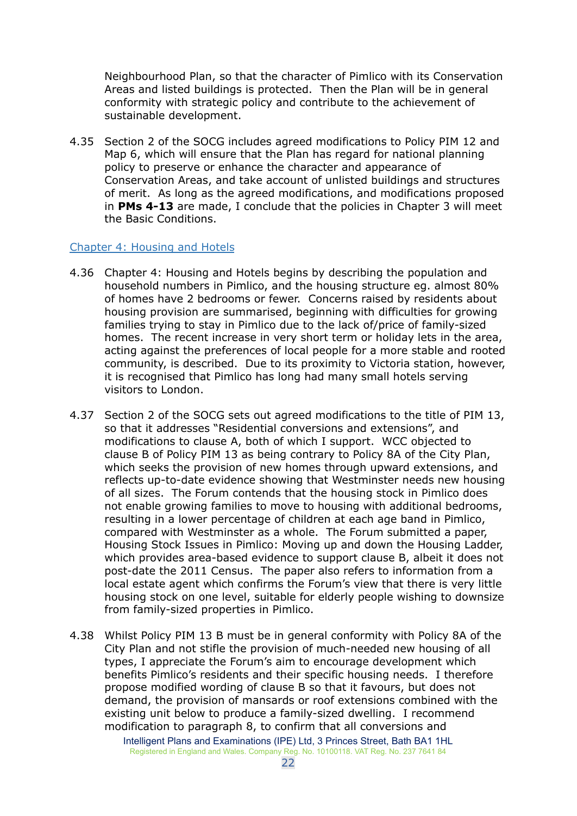Neighbourhood Plan, so that the character of Pimlico with its Conservation Areas and listed buildings is protected. Then the Plan will be in general conformity with strategic policy and contribute to the achievement of sustainable development.

4.35 Section 2 of the SOCG includes agreed modifications to Policy PIM 12 and Map 6, which will ensure that the Plan has regard for national planning policy to preserve or enhance the character and appearance of Conservation Areas, and take account of unlisted buildings and structures of merit. As long as the agreed modifications, and modifications proposed in **PMs 4-13** are made, I conclude that the policies in Chapter 3 will meet the Basic Conditions.

#### <span id="page-21-0"></span>Chapter 4: Housing and Hotels

- 4.36 Chapter 4: Housing and Hotels begins by describing the population and household numbers in Pimlico, and the housing structure eg. almost 80% of homes have 2 bedrooms or fewer. Concerns raised by residents about housing provision are summarised, beginning with difficulties for growing families trying to stay in Pimlico due to the lack of/price of family-sized homes. The recent increase in very short term or holiday lets in the area, acting against the preferences of local people for a more stable and rooted community, is described. Due to its proximity to Victoria station, however, it is recognised that Pimlico has long had many small hotels serving visitors to London.
- 4.37 Section 2 of the SOCG sets out agreed modifications to the title of PIM 13, so that it addresses "Residential conversions and extensions", and modifications to clause A, both of which I support. WCC objected to clause B of Policy PIM 13 as being contrary to Policy 8A of the City Plan, which seeks the provision of new homes through upward extensions, and reflects up-to-date evidence showing that Westminster needs new housing of all sizes. The Forum contends that the housing stock in Pimlico does not enable growing families to move to housing with additional bedrooms, resulting in a lower percentage of children at each age band in Pimlico, compared with Westminster as a whole. The Forum submitted a paper, Housing Stock Issues in Pimlico: Moving up and down the Housing Ladder, which provides area-based evidence to support clause B, albeit it does not post-date the 2011 Census. The paper also refers to information from a local estate agent which confirms the Forum's view that there is very little housing stock on one level, suitable for elderly people wishing to downsize from family-sized properties in Pimlico.
- 4.38 Whilst Policy PIM 13 B must be in general conformity with Policy 8A of the City Plan and not stifle the provision of much-needed new housing of all types, I appreciate the Forum's aim to encourage development which benefits Pimlico's residents and their specific housing needs. I therefore propose modified wording of clause B so that it favours, but does not demand, the provision of mansards or roof extensions combined with the existing unit below to produce a family-sized dwelling. I recommend modification to paragraph 8, to confirm that all conversions and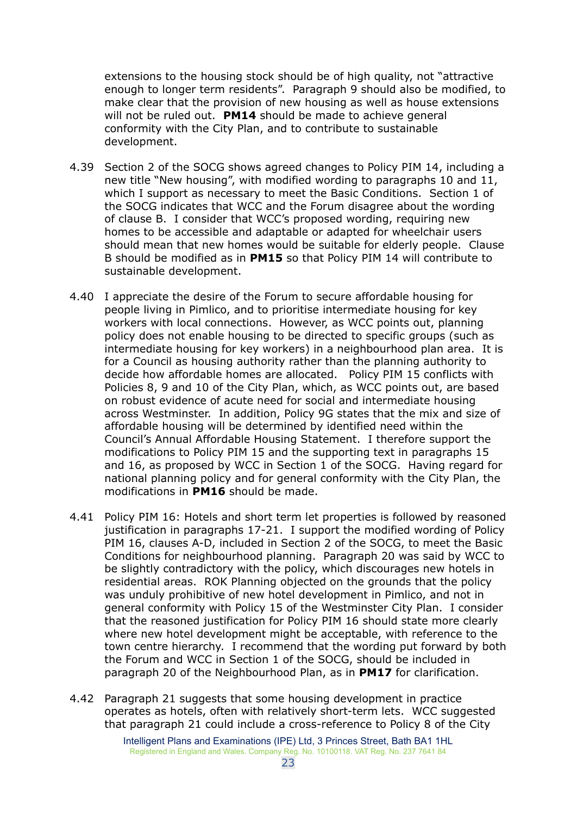extensions to the housing stock should be of high quality, not "attractive enough to longer term residents". Paragraph 9 should also be modified, to make clear that the provision of new housing as well as house extensions will not be ruled out. **PM14** should be made to achieve general conformity with the City Plan, and to contribute to sustainable development.

- 4.39 Section 2 of the SOCG shows agreed changes to Policy PIM 14, including a new title "New housing", with modified wording to paragraphs 10 and 11, which I support as necessary to meet the Basic Conditions. Section 1 of the SOCG indicates that WCC and the Forum disagree about the wording of clause B. I consider that WCC's proposed wording, requiring new homes to be accessible and adaptable or adapted for wheelchair users should mean that new homes would be suitable for elderly people. Clause B should be modified as in **PM15** so that Policy PIM 14 will contribute to sustainable development.
- 4.40 I appreciate the desire of the Forum to secure affordable housing for people living in Pimlico, and to prioritise intermediate housing for key workers with local connections. However, as WCC points out, planning policy does not enable housing to be directed to specific groups (such as intermediate housing for key workers) in a neighbourhood plan area. It is for a Council as housing authority rather than the planning authority to decide how affordable homes are allocated. Policy PIM 15 conflicts with Policies 8, 9 and 10 of the City Plan, which, as WCC points out, are based on robust evidence of acute need for social and intermediate housing across Westminster. In addition, Policy 9G states that the mix and size of affordable housing will be determined by identified need within the Council's Annual Affordable Housing Statement. I therefore support the modifications to Policy PIM 15 and the supporting text in paragraphs 15 and 16, as proposed by WCC in Section 1 of the SOCG. Having regard for national planning policy and for general conformity with the City Plan, the modifications in **PM16** should be made.
- 4.41 Policy PIM 16: Hotels and short term let properties is followed by reasoned justification in paragraphs 17-21. I support the modified wording of Policy PIM 16, clauses A-D, included in Section 2 of the SOCG, to meet the Basic Conditions for neighbourhood planning. Paragraph 20 was said by WCC to be slightly contradictory with the policy, which discourages new hotels in residential areas. ROK Planning objected on the grounds that the policy was unduly prohibitive of new hotel development in Pimlico, and not in general conformity with Policy 15 of the Westminster City Plan. I consider that the reasoned justification for Policy PIM 16 should state more clearly where new hotel development might be acceptable, with reference to the town centre hierarchy. I recommend that the wording put forward by both the Forum and WCC in Section 1 of the SOCG, should be included in paragraph 20 of the Neighbourhood Plan, as in **PM17** for clarification.
- 4.42 Paragraph 21 suggests that some housing development in practice operates as hotels, often with relatively short-term lets. WCC suggested that paragraph 21 could include a cross-reference to Policy 8 of the City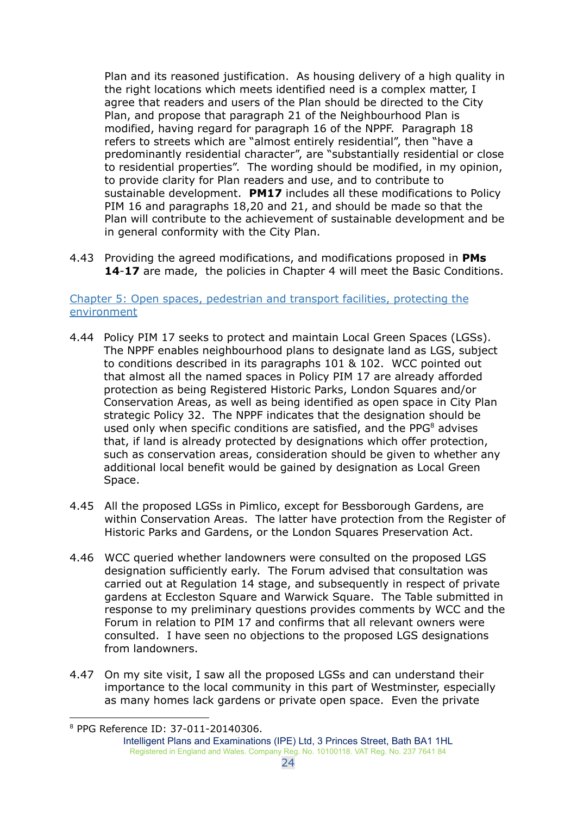Plan and its reasoned justification. As housing delivery of a high quality in the right locations which meets identified need is a complex matter, I agree that readers and users of the Plan should be directed to the City Plan, and propose that paragraph 21 of the Neighbourhood Plan is modified, having regard for paragraph 16 of the NPPF. Paragraph 18 refers to streets which are "almost entirely residential", then "have a predominantly residential character", are "substantially residential or close to residential properties". The wording should be modified, in my opinion, to provide clarity for Plan readers and use, and to contribute to sustainable development. **PM17** includes all these modifications to Policy PIM 16 and paragraphs 18,20 and 21, and should be made so that the Plan will contribute to the achievement of sustainable development and be in general conformity with the City Plan.

4.43 Providing the agreed modifications, and modifications proposed in **PMs 14**-**17** are made, the policies in Chapter 4 will meet the Basic Conditions.

## <span id="page-23-0"></span>Chapter 5: Open spaces, pedestrian and transport facilities, protecting the environment

- 4.44 Policy PIM 17 seeks to protect and maintain Local Green Spaces (LGSs). The NPPF enables neighbourhood plans to designate land as LGS, subject to conditions described in its paragraphs 101 & 102. WCC pointed out that almost all the named spaces in Policy PIM 17 are already afforded protection as being Registered Historic Parks, London Squares and/or Conservation Areas, as well as being identified as open space in City Plan strategic Policy 32. The NPPF indicates that the designation should be used only when specific conditions are satisfied, and the PPG<sup>8</sup> advises that, if land is already protected by designations which offer protection, such as conservation areas, consideration should be given to whether any additional local benefit would be gained by designation as Local Green Space.
- 4.45 All the proposed LGSs in Pimlico, except for Bessborough Gardens, are within Conservation Areas. The latter have protection from the Register of Historic Parks and Gardens, or the London Squares Preservation Act.
- 4.46 WCC queried whether landowners were consulted on the proposed LGS designation sufficiently early. The Forum advised that consultation was carried out at Regulation 14 stage, and subsequently in respect of private gardens at Eccleston Square and Warwick Square. The Table submitted in response to my preliminary questions provides comments by WCC and the Forum in relation to PIM 17 and confirms that all relevant owners were consulted. I have seen no objections to the proposed LGS designations from landowners.
- 4.47 On my site visit, I saw all the proposed LGSs and can understand their importance to the local community in this part of Westminster, especially as many homes lack gardens or private open space. Even the private

<sup>8</sup> PPG Reference ID: 37-011-20140306.

Intelligent Plans and Examinations (IPE) Ltd, 3 Princes Street, Bath BA1 1HL Registered in England and Wales. Company Reg. No. 10100118. VAT Reg. No. 237 7641 84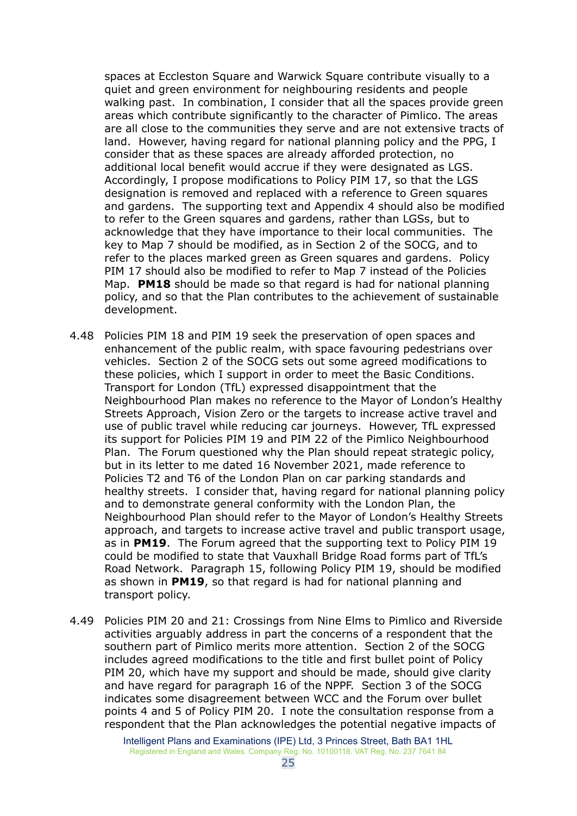spaces at Eccleston Square and Warwick Square contribute visually to a quiet and green environment for neighbouring residents and people walking past. In combination, I consider that all the spaces provide green areas which contribute significantly to the character of Pimlico. The areas are all close to the communities they serve and are not extensive tracts of land. However, having regard for national planning policy and the PPG, I consider that as these spaces are already afforded protection, no additional local benefit would accrue if they were designated as LGS. Accordingly, I propose modifications to Policy PIM 17, so that the LGS designation is removed and replaced with a reference to Green squares and gardens. The supporting text and Appendix 4 should also be modified to refer to the Green squares and gardens, rather than LGSs, but to acknowledge that they have importance to their local communities. The key to Map 7 should be modified, as in Section 2 of the SOCG, and to refer to the places marked green as Green squares and gardens. Policy PIM 17 should also be modified to refer to Map 7 instead of the Policies Map. **PM18** should be made so that regard is had for national planning policy, and so that the Plan contributes to the achievement of sustainable development.

- 4.48 Policies PIM 18 and PIM 19 seek the preservation of open spaces and enhancement of the public realm, with space favouring pedestrians over vehicles. Section 2 of the SOCG sets out some agreed modifications to these policies, which I support in order to meet the Basic Conditions. Transport for London (TfL) expressed disappointment that the Neighbourhood Plan makes no reference to the Mayor of London's Healthy Streets Approach, Vision Zero or the targets to increase active travel and use of public travel while reducing car journeys. However, TfL expressed its support for Policies PIM 19 and PIM 22 of the Pimlico Neighbourhood Plan. The Forum questioned why the Plan should repeat strategic policy, but in its letter to me dated 16 November 2021, made reference to Policies T2 and T6 of the London Plan on car parking standards and healthy streets. I consider that, having regard for national planning policy and to demonstrate general conformity with the London Plan, the Neighbourhood Plan should refer to the Mayor of London's Healthy Streets approach, and targets to increase active travel and public transport usage, as in **PM19**. The Forum agreed that the supporting text to Policy PIM 19 could be modified to state that Vauxhall Bridge Road forms part of TfL's Road Network. Paragraph 15, following Policy PIM 19, should be modified as shown in **PM19**, so that regard is had for national planning and transport policy.
- 4.49 Policies PIM 20 and 21: Crossings from Nine Elms to Pimlico and Riverside activities arguably address in part the concerns of a respondent that the southern part of Pimlico merits more attention. Section 2 of the SOCG includes agreed modifications to the title and first bullet point of Policy PIM 20, which have my support and should be made, should give clarity and have regard for paragraph 16 of the NPPF. Section 3 of the SOCG indicates some disagreement between WCC and the Forum over bullet points 4 and 5 of Policy PIM 20. I note the consultation response from a respondent that the Plan acknowledges the potential negative impacts of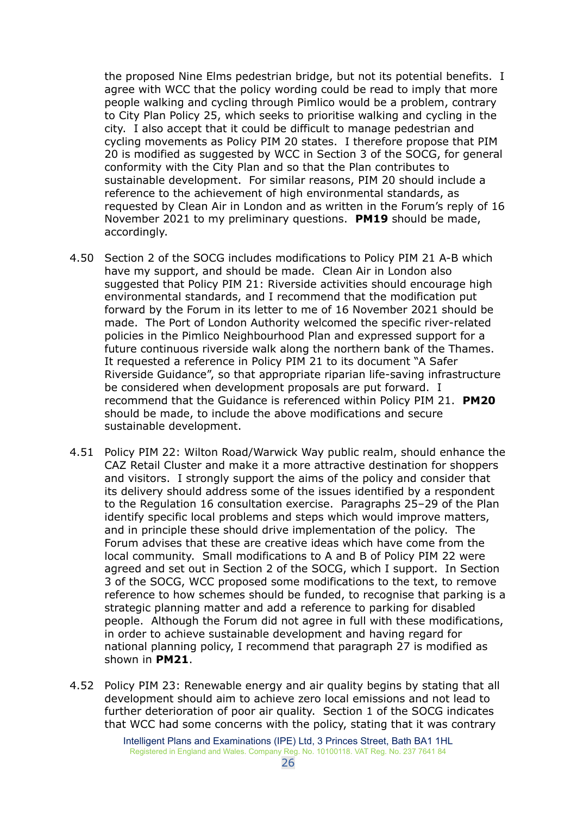the proposed Nine Elms pedestrian bridge, but not its potential benefits. I agree with WCC that the policy wording could be read to imply that more people walking and cycling through Pimlico would be a problem, contrary to City Plan Policy 25, which seeks to prioritise walking and cycling in the city. I also accept that it could be difficult to manage pedestrian and cycling movements as Policy PIM 20 states. I therefore propose that PIM 20 is modified as suggested by WCC in Section 3 of the SOCG, for general conformity with the City Plan and so that the Plan contributes to sustainable development. For similar reasons, PIM 20 should include a reference to the achievement of high environmental standards, as requested by Clean Air in London and as written in the Forum's reply of 16 November 2021 to my preliminary questions. **PM19** should be made, accordingly.

- 4.50 Section 2 of the SOCG includes modifications to Policy PIM 21 A-B which have my support, and should be made. Clean Air in London also suggested that Policy PIM 21: Riverside activities should encourage high environmental standards, and I recommend that the modification put forward by the Forum in its letter to me of 16 November 2021 should be made. The Port of London Authority welcomed the specific river-related policies in the Pimlico Neighbourhood Plan and expressed support for a future continuous riverside walk along the northern bank of the Thames. It requested a reference in Policy PIM 21 to its document "A Safer Riverside Guidance", so that appropriate riparian life-saving infrastructure be considered when development proposals are put forward. I recommend that the Guidance is referenced within Policy PIM 21. **PM20** should be made, to include the above modifications and secure sustainable development.
- 4.51 Policy PIM 22: Wilton Road/Warwick Way public realm, should enhance the CAZ Retail Cluster and make it a more attractive destination for shoppers and visitors. I strongly support the aims of the policy and consider that its delivery should address some of the issues identified by a respondent to the Regulation 16 consultation exercise. Paragraphs 25–29 of the Plan identify specific local problems and steps which would improve matters, and in principle these should drive implementation of the policy. The Forum advises that these are creative ideas which have come from the local community. Small modifications to A and B of Policy PIM 22 were agreed and set out in Section 2 of the SOCG, which I support. In Section 3 of the SOCG, WCC proposed some modifications to the text, to remove reference to how schemes should be funded, to recognise that parking is a strategic planning matter and add a reference to parking for disabled people. Although the Forum did not agree in full with these modifications, in order to achieve sustainable development and having regard for national planning policy, I recommend that paragraph 27 is modified as shown in **PM21**.
- 4.52 Policy PIM 23: Renewable energy and air quality begins by stating that all development should aim to achieve zero local emissions and not lead to further deterioration of poor air quality. Section 1 of the SOCG indicates that WCC had some concerns with the policy, stating that it was contrary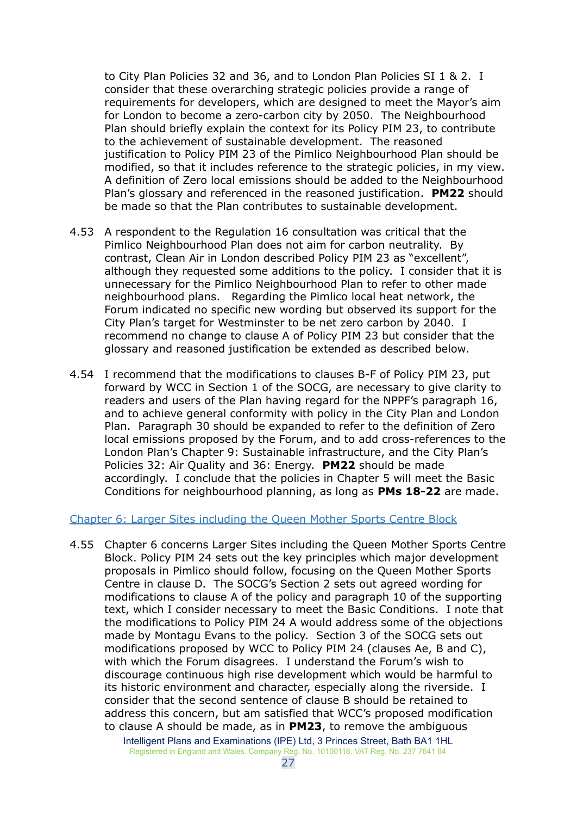to City Plan Policies 32 and 36, and to London Plan Policies SI 1 & 2. I consider that these overarching strategic policies provide a range of requirements for developers, which are designed to meet the Mayor's aim for London to become a zero-carbon city by 2050. The Neighbourhood Plan should briefly explain the context for its Policy PIM 23, to contribute to the achievement of sustainable development. The reasoned justification to Policy PIM 23 of the Pimlico Neighbourhood Plan should be modified, so that it includes reference to the strategic policies, in my view. A definition of Zero local emissions should be added to the Neighbourhood Plan's glossary and referenced in the reasoned justification. **PM22** should be made so that the Plan contributes to sustainable development.

- 4.53 A respondent to the Regulation 16 consultation was critical that the Pimlico Neighbourhood Plan does not aim for carbon neutrality. By contrast, Clean Air in London described Policy PIM 23 as "excellent", although they requested some additions to the policy. I consider that it is unnecessary for the Pimlico Neighbourhood Plan to refer to other made neighbourhood plans. Regarding the Pimlico local heat network, the Forum indicated no specific new wording but observed its support for the City Plan's target for Westminster to be net zero carbon by 2040. I recommend no change to clause A of Policy PIM 23 but consider that the glossary and reasoned justification be extended as described below.
- 4.54 I recommend that the modifications to clauses B-F of Policy PIM 23, put forward by WCC in Section 1 of the SOCG, are necessary to give clarity to readers and users of the Plan having regard for the NPPF's paragraph 16, and to achieve general conformity with policy in the City Plan and London Plan. Paragraph 30 should be expanded to refer to the definition of Zero local emissions proposed by the Forum, and to add cross-references to the London Plan's Chapter 9: Sustainable infrastructure, and the City Plan's Policies 32: Air Quality and 36: Energy. **PM22** should be made accordingly. I conclude that the policies in Chapter 5 will meet the Basic Conditions for neighbourhood planning, as long as **PMs 18-22** are made.

#### <span id="page-26-0"></span>Chapter 6: Larger Sites including the Queen Mother Sports Centre Block

4.55 Chapter 6 concerns Larger Sites including the Queen Mother Sports Centre Block. Policy PIM 24 sets out the key principles which major development proposals in Pimlico should follow, focusing on the Queen Mother Sports Centre in clause D. The SOCG's Section 2 sets out agreed wording for modifications to clause A of the policy and paragraph 10 of the supporting text, which I consider necessary to meet the Basic Conditions. I note that the modifications to Policy PIM 24 A would address some of the objections made by Montagu Evans to the policy. Section 3 of the SOCG sets out modifications proposed by WCC to Policy PIM 24 (clauses Ae, B and C), with which the Forum disagrees. I understand the Forum's wish to discourage continuous high rise development which would be harmful to its historic environment and character, especially along the riverside. I consider that the second sentence of clause B should be retained to address this concern, but am satisfied that WCC's proposed modification to clause A should be made, as in **PM23**, to remove the ambiguous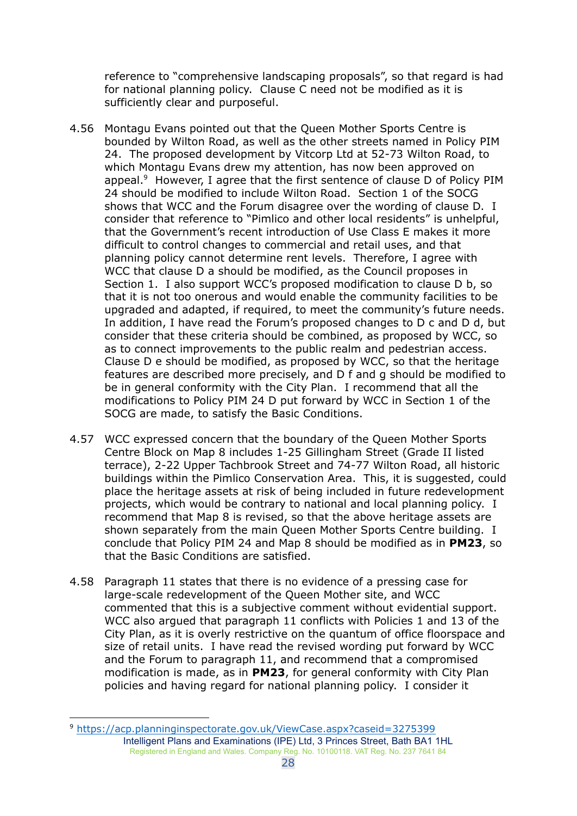reference to "comprehensive landscaping proposals", so that regard is had for national planning policy. Clause C need not be modified as it is sufficiently clear and purposeful.

- 4.56 Montagu Evans pointed out that the Queen Mother Sports Centre is bounded by Wilton Road, as well as the other streets named in Policy PIM 24. The proposed development by Vitcorp Ltd at 52-73 Wilton Road, to which Montagu Evans drew my attention, has now been approved on appeal. <sup>9</sup> However, I agree that the first sentence of clause D of Policy PIM 24 should be modified to include Wilton Road. Section 1 of the SOCG shows that WCC and the Forum disagree over the wording of clause D. I consider that reference to "Pimlico and other local residents" is unhelpful, that the Government's recent introduction of Use Class E makes it more difficult to control changes to commercial and retail uses, and that planning policy cannot determine rent levels. Therefore, I agree with WCC that clause D a should be modified, as the Council proposes in Section 1. I also support WCC's proposed modification to clause D b, so that it is not too onerous and would enable the community facilities to be upgraded and adapted, if required, to meet the community's future needs. In addition, I have read the Forum's proposed changes to D c and D d, but consider that these criteria should be combined, as proposed by WCC, so as to connect improvements to the public realm and pedestrian access. Clause D e should be modified, as proposed by WCC, so that the heritage features are described more precisely, and D f and g should be modified to be in general conformity with the City Plan. I recommend that all the modifications to Policy PIM 24 D put forward by WCC in Section 1 of the SOCG are made, to satisfy the Basic Conditions.
- 4.57 WCC expressed concern that the boundary of the Queen Mother Sports Centre Block on Map 8 includes 1-25 Gillingham Street (Grade II listed terrace), 2-22 Upper Tachbrook Street and 74-77 Wilton Road, all historic buildings within the Pimlico Conservation Area. This, it is suggested, could place the heritage assets at risk of being included in future redevelopment projects, which would be contrary to national and local planning policy. I recommend that Map 8 is revised, so that the above heritage assets are shown separately from the main Queen Mother Sports Centre building. I conclude that Policy PIM 24 and Map 8 should be modified as in **PM23**, so that the Basic Conditions are satisfied.
- 4.58 Paragraph 11 states that there is no evidence of a pressing case for large-scale redevelopment of the Queen Mother site, and WCC commented that this is a subjective comment without evidential support. WCC also argued that paragraph 11 conflicts with Policies 1 and 13 of the City Plan, as it is overly restrictive on the quantum of office floorspace and size of retail units. I have read the revised wording put forward by WCC and the Forum to paragraph 11, and recommend that a compromised modification is made, as in **PM23**, for general conformity with City Plan policies and having regard for national planning policy. I consider it

<sup>9</sup> <https://acp.planninginspectorate.gov.uk/ViewCase.aspx?caseid=3275399> Intelligent Plans and Examinations (IPE) Ltd, 3 Princes Street, Bath BA1 1HL Registered in England and Wales. Company Reg. No. 10100118. VAT Reg. No. 237 7641 84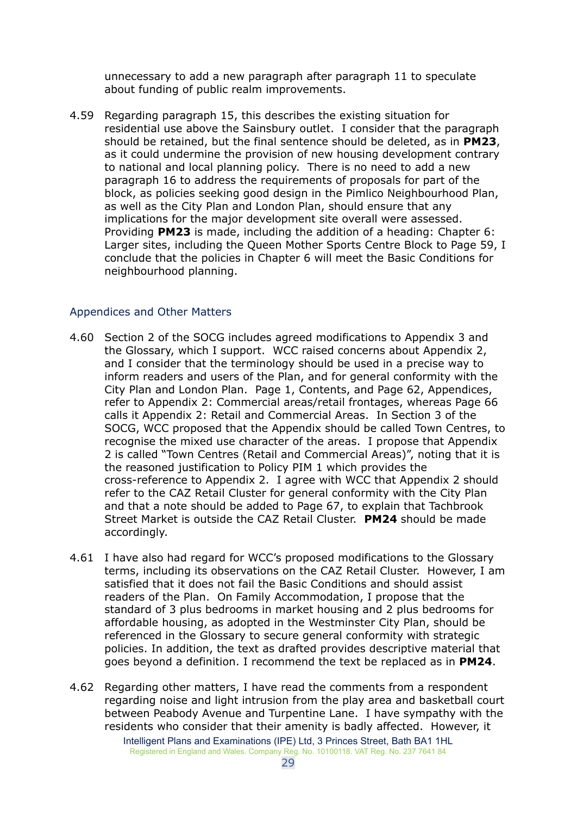unnecessary to add a new paragraph after paragraph 11 to speculate about funding of public realm improvements.

4.59 Regarding paragraph 15, this describes the existing situation for residential use above the Sainsbury outlet. I consider that the paragraph should be retained, but the final sentence should be deleted, as in **PM23**, as it could undermine the provision of new housing development contrary to national and local planning policy. There is no need to add a new paragraph 16 to address the requirements of proposals for part of the block, as policies seeking good design in the Pimlico Neighbourhood Plan, as well as the City Plan and London Plan, should ensure that any implications for the major development site overall were assessed. Providing **PM23** is made, including the addition of a heading: Chapter 6: Larger sites, including the Queen Mother Sports Centre Block to Page 59, I conclude that the policies in Chapter 6 will meet the Basic Conditions for neighbourhood planning.

#### <span id="page-28-0"></span>Appendices and Other Matters

- 4.60 Section 2 of the SOCG includes agreed modifications to Appendix 3 and the Glossary, which I support. WCC raised concerns about Appendix 2, and I consider that the terminology should be used in a precise way to inform readers and users of the Plan, and for general conformity with the City Plan and London Plan. Page 1, Contents, and Page 62, Appendices, refer to Appendix 2: Commercial areas/retail frontages, whereas Page 66 calls it Appendix 2: Retail and Commercial Areas. In Section 3 of the SOCG, WCC proposed that the Appendix should be called Town Centres, to recognise the mixed use character of the areas. I propose that Appendix 2 is called "Town Centres (Retail and Commercial Areas)", noting that it is the reasoned justification to Policy PIM 1 which provides the cross-reference to Appendix 2. I agree with WCC that Appendix 2 should refer to the CAZ Retail Cluster for general conformity with the City Plan and that a note should be added to Page 67, to explain that Tachbrook Street Market is outside the CAZ Retail Cluster. **PM24** should be made accordingly.
- 4.61 I have also had regard for WCC's proposed modifications to the Glossary terms, including its observations on the CAZ Retail Cluster. However, I am satisfied that it does not fail the Basic Conditions and should assist readers of the Plan. On Family Accommodation, I propose that the standard of 3 plus bedrooms in market housing and 2 plus bedrooms for affordable housing, as adopted in the Westminster City Plan, should be referenced in the Glossary to secure general conformity with strategic policies. In addition, the text as drafted provides descriptive material that goes beyond a definition. I recommend the text be replaced as in **PM24**.
- 4.62 Regarding other matters, I have read the comments from a respondent regarding noise and light intrusion from the play area and basketball court between Peabody Avenue and Turpentine Lane. I have sympathy with the residents who consider that their amenity is badly affected. However, it Intelligent Plans and Examinations (IPE) Ltd, 3 Princes Street, Bath BA1 1HL Registered in England and Wales. Company Reg. No. 10100118. VAT Reg. No. 237 7641 84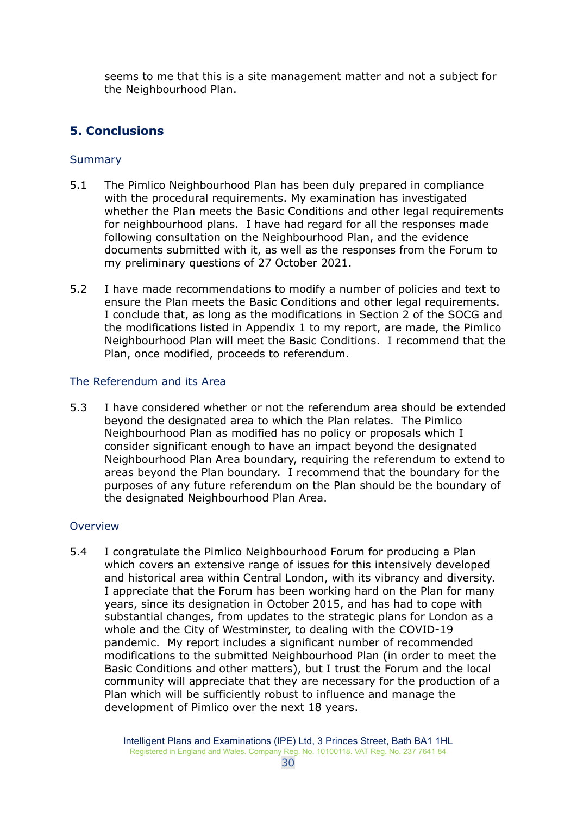seems to me that this is a site management matter and not a subject for the Neighbourhood Plan.

## <span id="page-29-0"></span>**5. Conclusions**

## <span id="page-29-1"></span>**Summary**

- 5.1 The Pimlico Neighbourhood Plan has been duly prepared in compliance with the procedural requirements. My examination has investigated whether the Plan meets the Basic Conditions and other legal requirements for neighbourhood plans. I have had regard for all the responses made following consultation on the Neighbourhood Plan, and the evidence documents submitted with it, as well as the responses from the Forum to my preliminary questions of 27 October 2021.
- 5.2 I have made recommendations to modify a number of policies and text to ensure the Plan meets the Basic Conditions and other legal requirements. I conclude that, as long as the modifications in Section 2 of the SOCG and the modifications listed in Appendix 1 to my report, are made, the Pimlico Neighbourhood Plan will meet the Basic Conditions. I recommend that the Plan, once modified, proceeds to referendum.

## <span id="page-29-2"></span>The Referendum and its Area

5.3 I have considered whether or not the referendum area should be extended beyond the designated area to which the Plan relates. The Pimlico Neighbourhood Plan as modified has no policy or proposals which I consider significant enough to have an impact beyond the designated Neighbourhood Plan Area boundary, requiring the referendum to extend to areas beyond the Plan boundary. I recommend that the boundary for the purposes of any future referendum on the Plan should be the boundary of the designated Neighbourhood Plan Area.

## <span id="page-29-3"></span>Overview

5.4 I congratulate the Pimlico Neighbourhood Forum for producing a Plan which covers an extensive range of issues for this intensively developed and historical area within Central London, with its vibrancy and diversity. I appreciate that the Forum has been working hard on the Plan for many years, since its designation in October 2015, and has had to cope with substantial changes, from updates to the strategic plans for London as a whole and the City of Westminster, to dealing with the COVID-19 pandemic. My report includes a significant number of recommended modifications to the submitted Neighbourhood Plan (in order to meet the Basic Conditions and other matters), but I trust the Forum and the local community will appreciate that they are necessary for the production of a Plan which will be sufficiently robust to influence and manage the development of Pimlico over the next 18 years.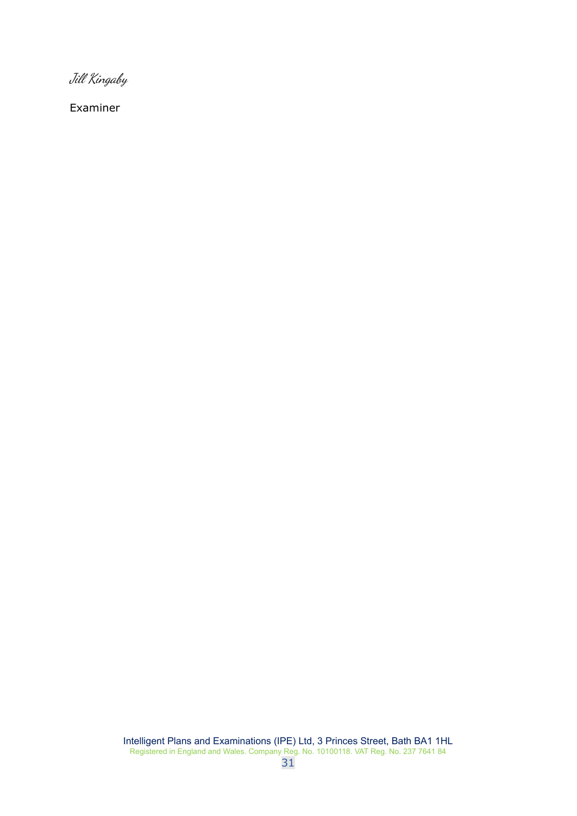Jill Kingaby

Examiner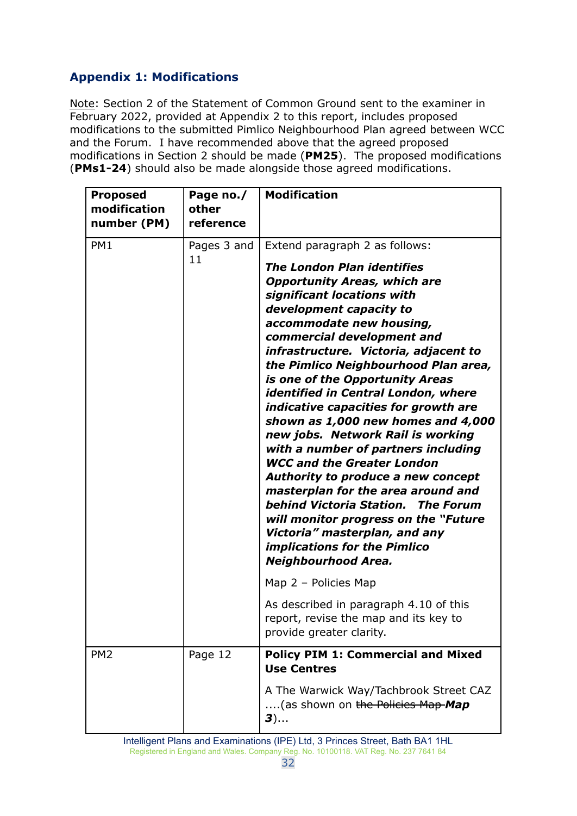# <span id="page-31-0"></span>**Appendix 1: Modifications**

Note: Section 2 of the Statement of Common Ground sent to the examiner in February 2022, provided at Appendix 2 to this report, includes proposed modifications to the submitted Pimlico Neighbourhood Plan agreed between WCC and the Forum. I have recommended above that the agreed proposed modifications in Section 2 should be made (**PM25**). The proposed modifications (**PMs1-24**) should also be made alongside those agreed modifications.

| <b>Proposed</b><br>modification<br>number (PM) | Page no./<br>other<br>reference | <b>Modification</b>                                                                                                                                                                                                                                                                                                                                                                                                                                                                                                                                                                                                                                                                                                                                                                                                                                               |
|------------------------------------------------|---------------------------------|-------------------------------------------------------------------------------------------------------------------------------------------------------------------------------------------------------------------------------------------------------------------------------------------------------------------------------------------------------------------------------------------------------------------------------------------------------------------------------------------------------------------------------------------------------------------------------------------------------------------------------------------------------------------------------------------------------------------------------------------------------------------------------------------------------------------------------------------------------------------|
| PM <sub>1</sub>                                | Pages 3 and<br>11               | Extend paragraph 2 as follows:<br><b>The London Plan identifies</b><br><b>Opportunity Areas, which are</b><br>significant locations with<br>development capacity to<br>accommodate new housing,<br>commercial development and<br>infrastructure. Victoria, adjacent to<br>the Pimlico Neighbourhood Plan area,<br>is one of the Opportunity Areas<br>identified in Central London, where<br>indicative capacities for growth are<br>shown as 1,000 new homes and 4,000<br>new jobs. Network Rail is working<br>with a number of partners including<br><b>WCC and the Greater London</b><br>Authority to produce a new concept<br>masterplan for the area around and<br>behind Victoria Station. The Forum<br>will monitor progress on the "Future<br>Victoria" masterplan, and any<br>implications for the Pimlico<br>Neighbourhood Area.<br>Map 2 - Policies Map |
|                                                |                                 | As described in paragraph 4.10 of this<br>report, revise the map and its key to<br>provide greater clarity.                                                                                                                                                                                                                                                                                                                                                                                                                                                                                                                                                                                                                                                                                                                                                       |
| PM <sub>2</sub>                                | Page 12                         | <b>Policy PIM 1: Commercial and Mixed</b><br><b>Use Centres</b><br>A The Warwick Way/Tachbrook Street CAZ<br>(as shown on the Policies Map-Map<br>3)                                                                                                                                                                                                                                                                                                                                                                                                                                                                                                                                                                                                                                                                                                              |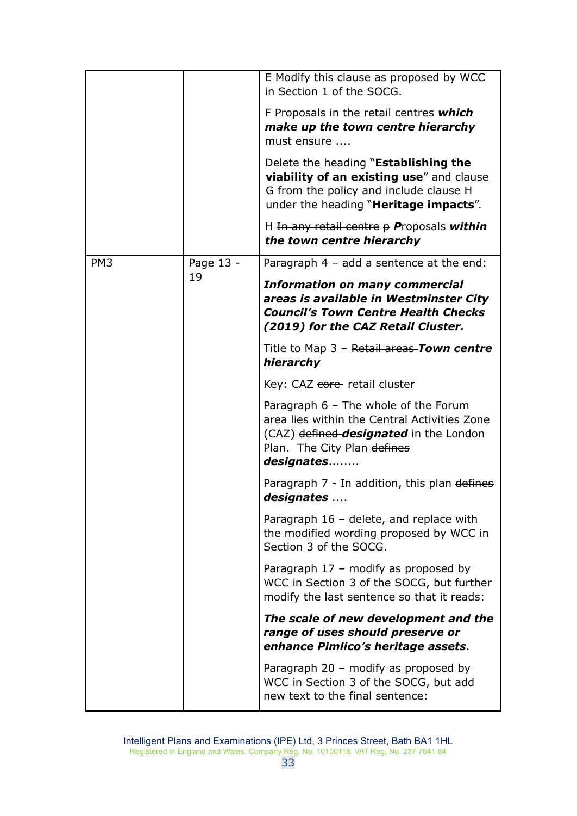|                 |           | E Modify this clause as proposed by WCC<br>in Section 1 of the SOCG.                                                                                                                  |
|-----------------|-----------|---------------------------------------------------------------------------------------------------------------------------------------------------------------------------------------|
|                 |           | F Proposals in the retail centres which<br>make up the town centre hierarchy<br>must ensure                                                                                           |
|                 |           | Delete the heading " <b>Establishing the</b><br>viability of an existing use" and clause<br>G from the policy and include clause H<br>under the heading " <b>Heritage impacts</b> ".  |
|                 |           | H In any retail centre $p$ Proposals within<br>the town centre hierarchy                                                                                                              |
| PM <sub>3</sub> | Page 13 - | Paragraph $4 - add a sentence$ at the end:                                                                                                                                            |
|                 | 19        | <b>Information on many commercial</b><br>areas is available in Westminster City<br><b>Council's Town Centre Health Checks</b><br>(2019) for the CAZ Retail Cluster.                   |
|                 |           | Title to Map 3 - Retail areas-Town centre<br>hierarchy                                                                                                                                |
|                 |           | Key: CAZ core retail cluster                                                                                                                                                          |
|                 |           | Paragraph $6$ – The whole of the Forum<br>area lies within the Central Activities Zone<br>(CAZ) defined- <b>designated</b> in the London<br>Plan. The City Plan defines<br>designates |
|                 |           | Paragraph 7 - In addition, this plan defines<br>designates                                                                                                                            |
|                 |           | Paragraph $16$ – delete, and replace with<br>the modified wording proposed by WCC in<br>Section 3 of the SOCG.                                                                        |
|                 |           | Paragraph 17 - modify as proposed by<br>WCC in Section 3 of the SOCG, but further<br>modify the last sentence so that it reads:                                                       |
|                 |           | The scale of new development and the<br>range of uses should preserve or<br>enhance Pimlico's heritage assets.                                                                        |
|                 |           | Paragraph 20 - modify as proposed by<br>WCC in Section 3 of the SOCG, but add<br>new text to the final sentence:                                                                      |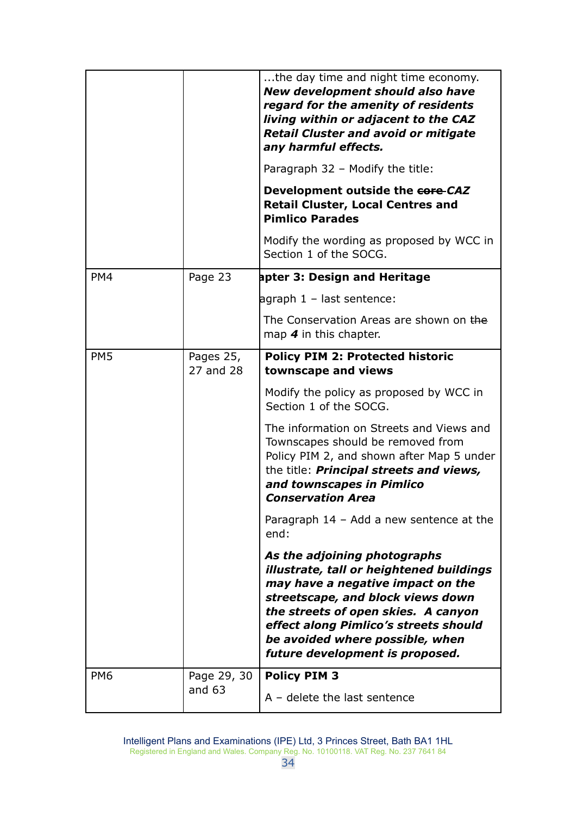|                 |                         | the day time and night time economy.<br>New development should also have<br>regard for the amenity of residents<br>living within or adjacent to the CAZ<br><b>Retail Cluster and avoid or mitigate</b><br>any harmful effects.                                                                           |
|-----------------|-------------------------|----------------------------------------------------------------------------------------------------------------------------------------------------------------------------------------------------------------------------------------------------------------------------------------------------------|
|                 |                         | Paragraph 32 - Modify the title:<br>Development outside the core-CAZ<br><b>Retail Cluster, Local Centres and</b><br><b>Pimlico Parades</b>                                                                                                                                                               |
|                 |                         | Modify the wording as proposed by WCC in<br>Section 1 of the SOCG.                                                                                                                                                                                                                                       |
| PM4             | Page 23                 | apter 3: Design and Heritage                                                                                                                                                                                                                                                                             |
|                 |                         | agraph 1 - last sentence:                                                                                                                                                                                                                                                                                |
|                 |                         | The Conservation Areas are shown on the<br>map $4$ in this chapter.                                                                                                                                                                                                                                      |
| PM <sub>5</sub> | Pages 25,<br>27 and 28  | <b>Policy PIM 2: Protected historic</b><br>townscape and views                                                                                                                                                                                                                                           |
|                 |                         | Modify the policy as proposed by WCC in<br>Section 1 of the SOCG.                                                                                                                                                                                                                                        |
|                 |                         | The information on Streets and Views and<br>Townscapes should be removed from<br>Policy PIM 2, and shown after Map 5 under<br>the title: <b>Principal streets and views,</b><br>and townscapes in Pimlico<br><b>Conservation Area</b>                                                                    |
|                 |                         | Paragraph 14 - Add a new sentence at the<br>end:                                                                                                                                                                                                                                                         |
|                 |                         | As the adjoining photographs<br>illustrate, tall or heightened buildings<br>may have a negative impact on the<br>streetscape, and block views down<br>the streets of open skies. A canyon<br>effect along Pimlico's streets should<br>be avoided where possible, when<br>future development is proposed. |
| PM <sub>6</sub> | Page 29, 30<br>and $63$ | <b>Policy PIM 3</b><br>$A -$ delete the last sentence                                                                                                                                                                                                                                                    |
|                 |                         |                                                                                                                                                                                                                                                                                                          |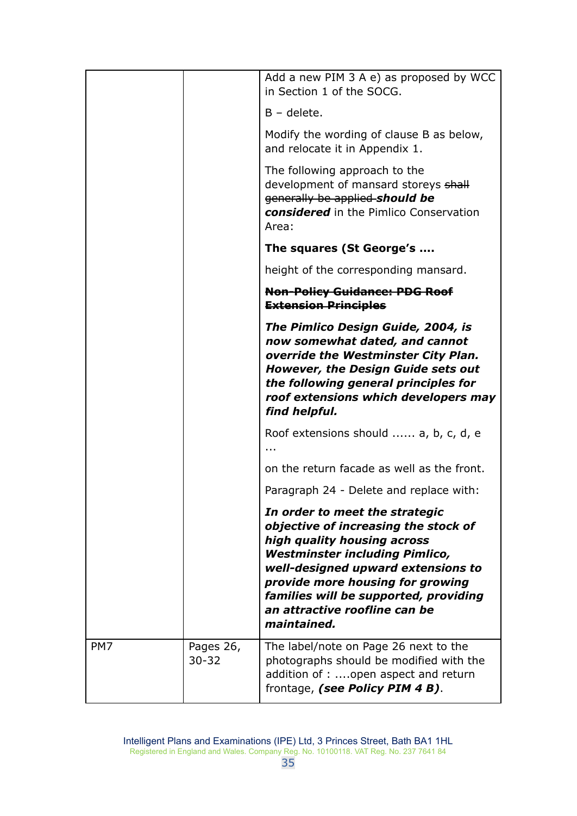|     |                        | Add a new PIM 3 A e) as proposed by WCC<br>in Section 1 of the SOCG.                                                                                                                                                                                                                                              |
|-----|------------------------|-------------------------------------------------------------------------------------------------------------------------------------------------------------------------------------------------------------------------------------------------------------------------------------------------------------------|
|     |                        | $B -$ delete.                                                                                                                                                                                                                                                                                                     |
|     |                        | Modify the wording of clause B as below,<br>and relocate it in Appendix 1.                                                                                                                                                                                                                                        |
|     |                        | The following approach to the<br>development of mansard storeys shall<br>generally be applied-should be<br>considered in the Pimlico Conservation<br>Area:                                                                                                                                                        |
|     |                        | The squares (St George's                                                                                                                                                                                                                                                                                          |
|     |                        | height of the corresponding mansard.                                                                                                                                                                                                                                                                              |
|     |                        | <b>Non-Policy Guidance: PDG Roof</b><br><b>Extension Principles</b>                                                                                                                                                                                                                                               |
|     |                        | The Pimlico Design Guide, 2004, is<br>now somewhat dated, and cannot<br>override the Westminster City Plan.<br><b>However, the Design Guide sets out</b><br>the following general principles for<br>roof extensions which developers may<br>find helpful.                                                         |
|     |                        | Roof extensions should  a, b, c, d, e                                                                                                                                                                                                                                                                             |
|     |                        | on the return facade as well as the front.                                                                                                                                                                                                                                                                        |
|     |                        | Paragraph 24 - Delete and replace with:                                                                                                                                                                                                                                                                           |
|     |                        | In order to meet the strategic<br>objective of increasing the stock of<br>high quality housing across<br><b>Westminster including Pimlico,</b><br>well-designed upward extensions to<br>provide more housing for growing<br>families will be supported, providing<br>an attractive roofline can be<br>maintained. |
| PM7 | Pages 26,<br>$30 - 32$ | The label/note on Page 26 next to the<br>photographs should be modified with the<br>addition of : open aspect and return<br>frontage, (see Policy PIM 4 B).                                                                                                                                                       |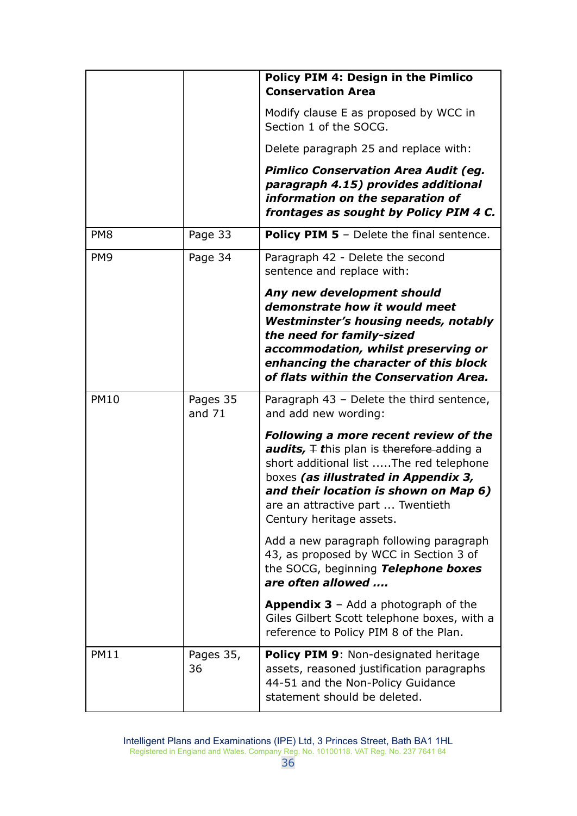|                 |                      | Policy PIM 4: Design in the Pimlico<br><b>Conservation Area</b>                                                                                                                                                                                                                                   |
|-----------------|----------------------|---------------------------------------------------------------------------------------------------------------------------------------------------------------------------------------------------------------------------------------------------------------------------------------------------|
|                 |                      | Modify clause E as proposed by WCC in<br>Section 1 of the SOCG.                                                                                                                                                                                                                                   |
|                 |                      | Delete paragraph 25 and replace with:                                                                                                                                                                                                                                                             |
|                 |                      | <b>Pimlico Conservation Area Audit (eg.</b><br>paragraph 4.15) provides additional<br>information on the separation of<br>frontages as sought by Policy PIM 4 C.                                                                                                                                  |
| PM <sub>8</sub> | Page 33              | <b>Policy PIM 5</b> - Delete the final sentence.                                                                                                                                                                                                                                                  |
| PM <sub>9</sub> | Page 34              | Paragraph 42 - Delete the second<br>sentence and replace with:                                                                                                                                                                                                                                    |
|                 |                      | Any new development should<br>demonstrate how it would meet<br><b>Westminster's housing needs, notably</b><br>the need for family-sized<br>accommodation, whilst preserving or<br>enhancing the character of this block<br>of flats within the Conservation Area.                                 |
| <b>PM10</b>     | Pages 35<br>and $71$ | Paragraph 43 - Delete the third sentence,<br>and add new wording:                                                                                                                                                                                                                                 |
|                 |                      | <b>Following a more recent review of the</b><br><b>audits,</b> $\mp$ this plan is therefore-adding a<br>short additional list The red telephone<br>boxes (as illustrated in Appendix 3,<br>and their location is shown on Map 6)<br>are an attractive part  Twentieth<br>Century heritage assets. |
|                 |                      | Add a new paragraph following paragraph<br>43, as proposed by WCC in Section 3 of<br>the SOCG, beginning Telephone boxes<br>are often allowed                                                                                                                                                     |
|                 |                      | <b>Appendix 3</b> – Add a photograph of the<br>Giles Gilbert Scott telephone boxes, with a<br>reference to Policy PIM 8 of the Plan.                                                                                                                                                              |
| <b>PM11</b>     | Pages 35,<br>36      | Policy PIM 9: Non-designated heritage<br>assets, reasoned justification paragraphs<br>44-51 and the Non-Policy Guidance<br>statement should be deleted.                                                                                                                                           |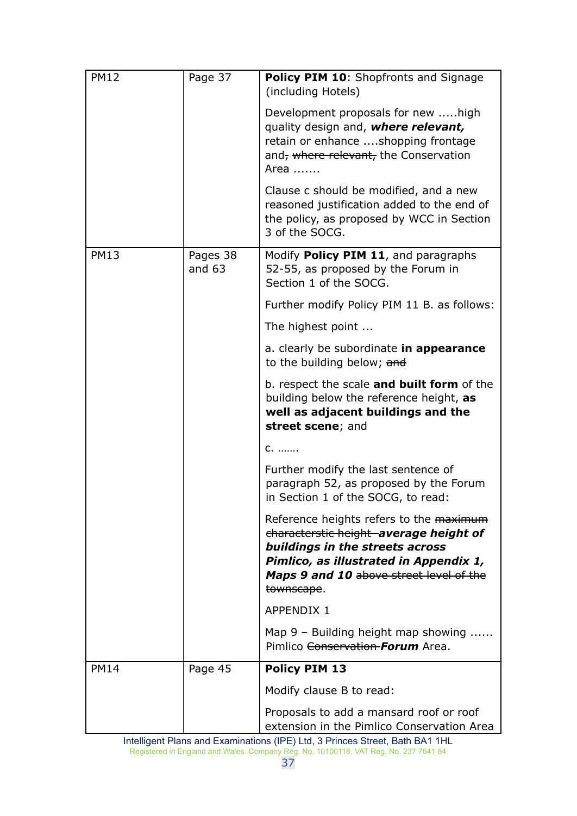| <b>PM12</b> | Page 37              | <b>Policy PIM 10: Shopfronts and Signage</b><br>(including Hotels)                                                                                                                                                      |
|-------------|----------------------|-------------------------------------------------------------------------------------------------------------------------------------------------------------------------------------------------------------------------|
|             |                      | Development proposals for new high<br>quality design and, where relevant,<br>retain or enhance shopping frontage<br>and, where relevant, the Conservation<br>Area                                                       |
|             |                      | Clause c should be modified, and a new<br>reasoned justification added to the end of<br>the policy, as proposed by WCC in Section<br>3 of the SOCG.                                                                     |
| <b>PM13</b> | Pages 38<br>and $63$ | Modify Policy PIM 11, and paragraphs<br>52-55, as proposed by the Forum in<br>Section 1 of the SOCG.                                                                                                                    |
|             |                      | Further modify Policy PIM 11 B. as follows:                                                                                                                                                                             |
|             |                      | The highest point                                                                                                                                                                                                       |
|             |                      | a. clearly be subordinate in appearance<br>to the building below; and                                                                                                                                                   |
|             |                      | b. respect the scale and built form of the<br>building below the reference height, as<br>well as adjacent buildings and the<br>street scene; and                                                                        |
|             |                      | $C_{1}$                                                                                                                                                                                                                 |
|             |                      | Further modify the last sentence of<br>paragraph 52, as proposed by the Forum<br>in Section 1 of the SOCG, to read:                                                                                                     |
|             |                      | Reference heights refers to the maximum<br>characterstic height average height of<br>buildings in the streets across<br>Pimlico, as illustrated in Appendix 1,<br>Maps 9 and 10 above street level of the<br>townscape. |
|             |                      | <b>APPENDIX 1</b>                                                                                                                                                                                                       |
|             |                      | Map 9 - Building height map showing<br>Pimlico <del>Conservation Forum</del> Area.                                                                                                                                      |
| <b>PM14</b> | Page 45              | <b>Policy PIM 13</b>                                                                                                                                                                                                    |
|             |                      | Modify clause B to read:                                                                                                                                                                                                |
|             |                      | Proposals to add a mansard roof or roof<br>extension in the Pimlico Conservation Area                                                                                                                                   |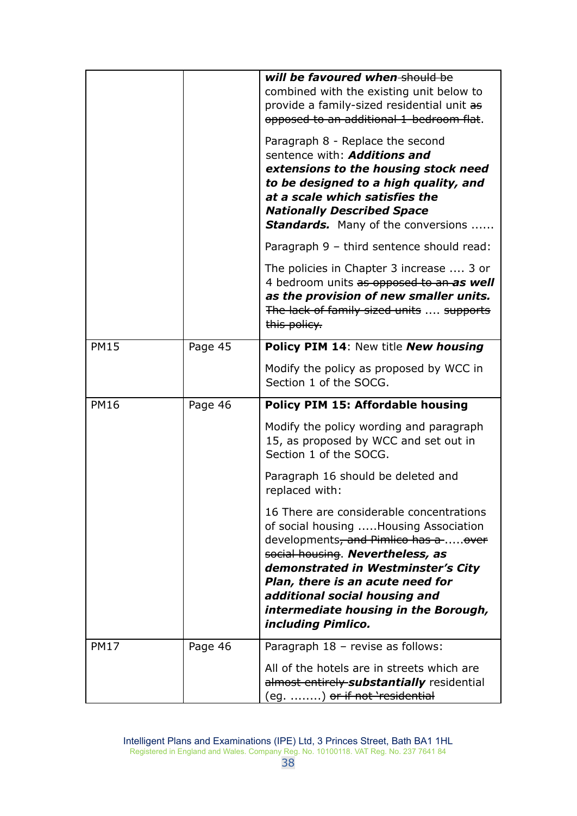|             |         | will be favoured when should be<br>combined with the existing unit below to<br>provide a family-sized residential unit as<br>opposed to an additional 1-bedroom flat.                                                                                                                                                                              |
|-------------|---------|----------------------------------------------------------------------------------------------------------------------------------------------------------------------------------------------------------------------------------------------------------------------------------------------------------------------------------------------------|
|             |         | Paragraph 8 - Replace the second<br>sentence with: <b>Additions and</b><br>extensions to the housing stock need<br>to be designed to a high quality, and<br>at a scale which satisfies the<br><b>Nationally Described Space</b><br><b>Standards.</b> Many of the conversions                                                                       |
|             |         | Paragraph 9 - third sentence should read:                                                                                                                                                                                                                                                                                                          |
|             |         | The policies in Chapter 3 increase  3 or<br>4 bedroom units as opposed to an as well<br>as the provision of new smaller units.<br>The lack of family sized units  supports<br>this policy.                                                                                                                                                         |
| <b>PM15</b> | Page 45 | Policy PIM 14: New title New housing                                                                                                                                                                                                                                                                                                               |
|             |         | Modify the policy as proposed by WCC in<br>Section 1 of the SOCG.                                                                                                                                                                                                                                                                                  |
|             |         |                                                                                                                                                                                                                                                                                                                                                    |
| <b>PM16</b> | Page 46 | <b>Policy PIM 15: Affordable housing</b>                                                                                                                                                                                                                                                                                                           |
|             |         | Modify the policy wording and paragraph<br>15, as proposed by WCC and set out in<br>Section 1 of the SOCG.                                                                                                                                                                                                                                         |
|             |         | Paragraph 16 should be deleted and<br>replaced with:                                                                                                                                                                                                                                                                                               |
|             |         | 16 There are considerable concentrations<br>of social housing Housing Association<br>developments <del>, and Pimlico has a over</del><br>social housing. Nevertheless, as<br>demonstrated in Westminster's City<br>Plan, there is an acute need for<br>additional social housing and<br>intermediate housing in the Borough,<br>including Pimlico. |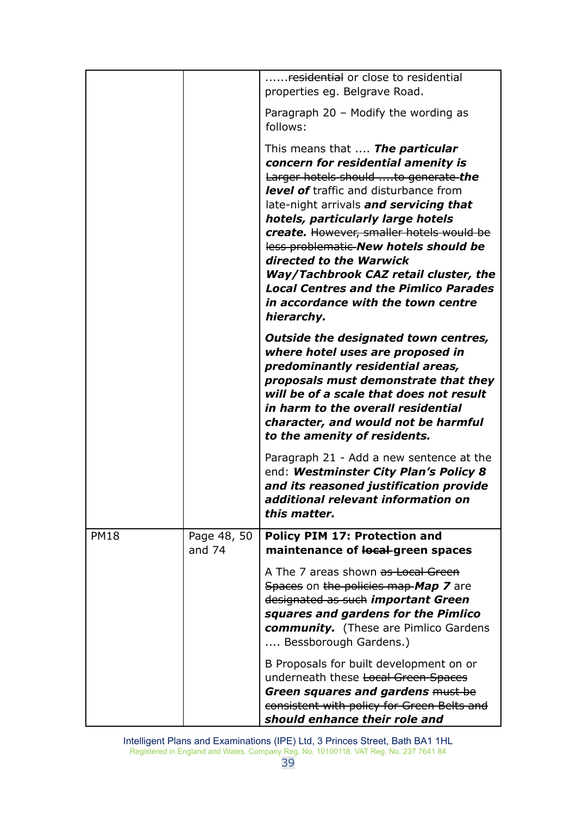|             |                         | <del>residential</del> or close to residential                                                                                                                                                                                                                                                                                                                                                                                                                                                                  |
|-------------|-------------------------|-----------------------------------------------------------------------------------------------------------------------------------------------------------------------------------------------------------------------------------------------------------------------------------------------------------------------------------------------------------------------------------------------------------------------------------------------------------------------------------------------------------------|
|             |                         | properties eg. Belgrave Road.                                                                                                                                                                                                                                                                                                                                                                                                                                                                                   |
|             |                         | Paragraph 20 - Modify the wording as<br>follows:                                                                                                                                                                                                                                                                                                                                                                                                                                                                |
|             |                         | This means that <b>The particular</b><br>concern for residential amenity is<br>Larger hotels should to generate the<br><b>level of</b> traffic and disturbance from<br>late-night arrivals and servicing that<br>hotels, particularly large hotels<br>create. However, smaller hotels would be<br>less problematic-New hotels should be<br>directed to the Warwick<br>Way/Tachbrook CAZ retail cluster, the<br><b>Local Centres and the Pimlico Parades</b><br>in accordance with the town centre<br>hierarchy. |
|             |                         | Outside the designated town centres,<br>where hotel uses are proposed in<br>predominantly residential areas,<br>proposals must demonstrate that they<br>will be of a scale that does not result<br>in harm to the overall residential<br>character, and would not be harmful<br>to the amenity of residents.                                                                                                                                                                                                    |
|             |                         | Paragraph 21 - Add a new sentence at the<br>end: Westminster City Plan's Policy 8<br>and its reasoned justification provide<br>additional relevant information on<br>this matter.                                                                                                                                                                                                                                                                                                                               |
| <b>PM18</b> | Page 48, 50<br>and $74$ | <b>Policy PIM 17: Protection and</b><br>maintenance of local-green spaces                                                                                                                                                                                                                                                                                                                                                                                                                                       |
|             |                         | A The 7 areas shown as Local Green<br>Spaces on the policies map Map 7 are<br>designated as such important Green<br>squares and gardens for the Pimlico<br><b>community.</b> (These are Pimlico Gardens<br>Bessborough Gardens.)                                                                                                                                                                                                                                                                                |
|             |                         | B Proposals for built development on or<br>underneath these Local Green Spaces<br>Green squares and gardens must be<br>consistent with policy for Green Belts and<br>should enhance their role and                                                                                                                                                                                                                                                                                                              |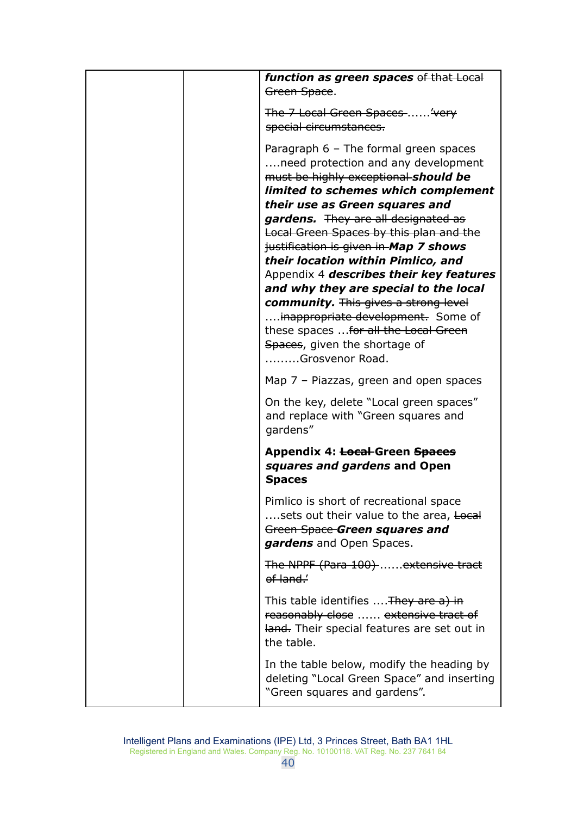|  | function as green spaces of that Local<br>Green Space.                            |
|--|-----------------------------------------------------------------------------------|
|  | The 7 Local Green Spaces 'very                                                    |
|  | special circumstances.                                                            |
|  | Paragraph $6$ – The formal green spaces                                           |
|  | need protection and any development                                               |
|  | must be highly exceptional should be                                              |
|  | limited to schemes which complement                                               |
|  | their use as Green squares and                                                    |
|  | gardens. They are all designated as                                               |
|  | Local Green Spaces by this plan and the                                           |
|  | justification is given in Map 7 shows                                             |
|  | their location within Pimlico, and                                                |
|  | Appendix 4 describes their key features                                           |
|  | and why they are special to the local                                             |
|  | <b>community.</b> This gives a strong level<br>inappropriate development. Some of |
|  | these spaces  for all the Local Green                                             |
|  | Spaces, given the shortage of                                                     |
|  | Grosvenor Road.                                                                   |
|  | Map $7$ – Piazzas, green and open spaces                                          |
|  |                                                                                   |
|  | On the key, delete "Local green spaces"                                           |
|  | and replace with "Green squares and                                               |
|  |                                                                                   |
|  | gardens"                                                                          |
|  | Appendix 4: <del>Local</del> -Green Spaces                                        |
|  | squares and gardens and Open                                                      |
|  | <b>Spaces</b>                                                                     |
|  |                                                                                   |
|  | Pimlico is short of recreational space                                            |
|  | sets out their value to the area, Local                                           |
|  | Green Space-Green squares and                                                     |
|  | gardens and Open Spaces.                                                          |
|  | The NPPF (Para 100)  extensive tract                                              |
|  | ef land.                                                                          |
|  | This table identifies  They are a) in                                             |
|  | reasonably close  extensive tract of                                              |
|  | land. Their special features are set out in                                       |
|  | the table.                                                                        |
|  |                                                                                   |
|  | In the table below, modify the heading by                                         |
|  | deleting "Local Green Space" and inserting<br>"Green squares and gardens".        |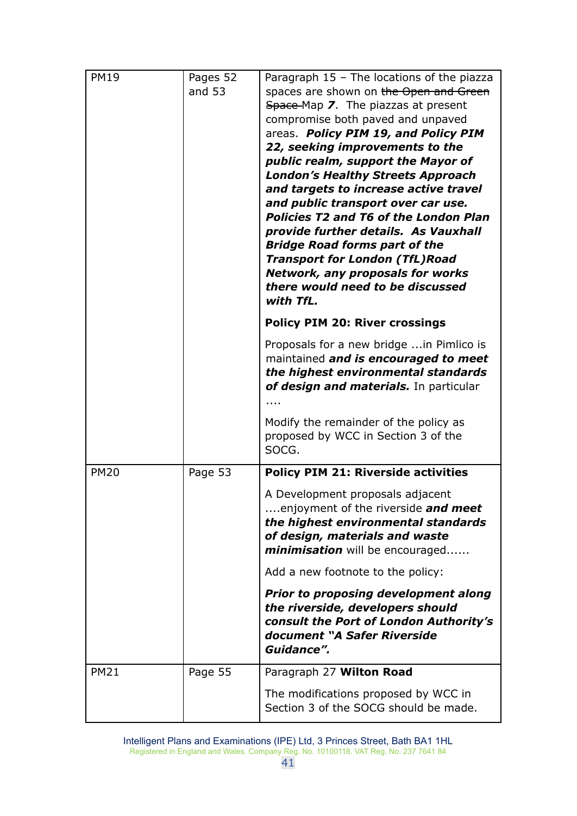| <b>PM19</b> | Pages 52<br>and $53$ | Paragraph $15$ – The locations of the piazza<br>spaces are shown on the Open and Green<br>Space-Map 7. The piazzas at present<br>compromise both paved and unpaved<br>areas. Policy PIM 19, and Policy PIM<br>22, seeking improvements to the<br>public realm, support the Mayor of<br><b>London's Healthy Streets Approach</b><br>and targets to increase active travel<br>and public transport over car use.<br><b>Policies T2 and T6 of the London Plan</b><br>provide further details. As Vauxhall<br><b>Bridge Road forms part of the</b><br><b>Transport for London (TfL)Road</b><br><b>Network, any proposals for works</b><br>there would need to be discussed<br>with TfL. |
|-------------|----------------------|-------------------------------------------------------------------------------------------------------------------------------------------------------------------------------------------------------------------------------------------------------------------------------------------------------------------------------------------------------------------------------------------------------------------------------------------------------------------------------------------------------------------------------------------------------------------------------------------------------------------------------------------------------------------------------------|
|             |                      | <b>Policy PIM 20: River crossings</b>                                                                                                                                                                                                                                                                                                                                                                                                                                                                                                                                                                                                                                               |
|             |                      | Proposals for a new bridge  in Pimlico is<br>maintained and is encouraged to meet<br>the highest environmental standards<br>of design and materials. In particular                                                                                                                                                                                                                                                                                                                                                                                                                                                                                                                  |
|             |                      | Modify the remainder of the policy as<br>proposed by WCC in Section 3 of the<br>SOCG.                                                                                                                                                                                                                                                                                                                                                                                                                                                                                                                                                                                               |
| <b>PM20</b> | Page 53              | <b>Policy PIM 21: Riverside activities</b>                                                                                                                                                                                                                                                                                                                                                                                                                                                                                                                                                                                                                                          |
|             |                      | A Development proposals adjacent<br>enjoyment of the riverside and meet<br>the highest environmental standards<br>of design, materials and waste<br>minimisation will be encouraged                                                                                                                                                                                                                                                                                                                                                                                                                                                                                                 |
|             |                      | Add a new footnote to the policy:                                                                                                                                                                                                                                                                                                                                                                                                                                                                                                                                                                                                                                                   |
|             |                      | <b>Prior to proposing development along</b><br>the riverside, developers should<br>consult the Port of London Authority's<br>document "A Safer Riverside<br>Guidance".                                                                                                                                                                                                                                                                                                                                                                                                                                                                                                              |
| <b>PM21</b> | Page 55              | Paragraph 27 Wilton Road                                                                                                                                                                                                                                                                                                                                                                                                                                                                                                                                                                                                                                                            |
|             |                      | The modifications proposed by WCC in<br>Section 3 of the SOCG should be made.                                                                                                                                                                                                                                                                                                                                                                                                                                                                                                                                                                                                       |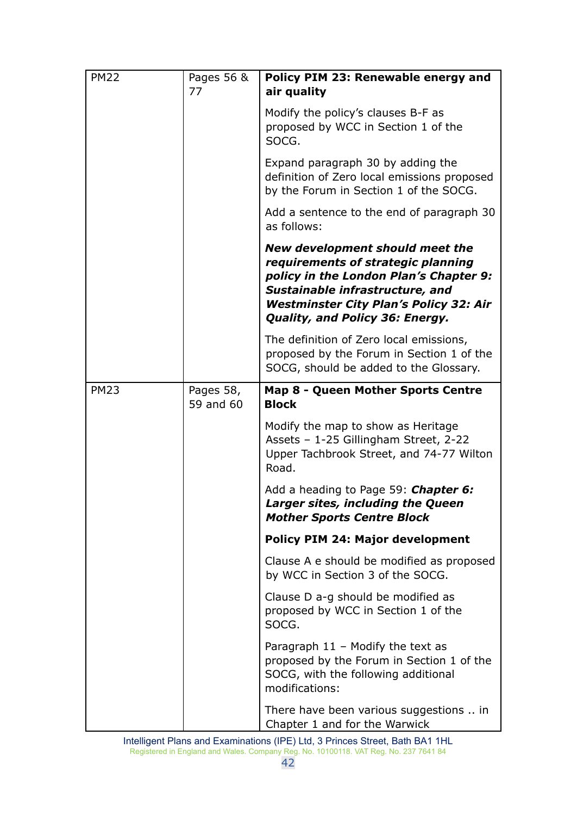| <b>PM22</b> | Pages 56 &<br>77       | Policy PIM 23: Renewable energy and<br>air quality                                                                                                                                                                                     |
|-------------|------------------------|----------------------------------------------------------------------------------------------------------------------------------------------------------------------------------------------------------------------------------------|
|             |                        | Modify the policy's clauses B-F as<br>proposed by WCC in Section 1 of the<br>SOCG.                                                                                                                                                     |
|             |                        | Expand paragraph 30 by adding the<br>definition of Zero local emissions proposed<br>by the Forum in Section 1 of the SOCG.                                                                                                             |
|             |                        | Add a sentence to the end of paragraph 30<br>as follows:                                                                                                                                                                               |
|             |                        | New development should meet the<br>requirements of strategic planning<br>policy in the London Plan's Chapter 9:<br>Sustainable infrastructure, and<br><b>Westminster City Plan's Policy 32: Air</b><br>Quality, and Policy 36: Energy. |
|             |                        | The definition of Zero local emissions,<br>proposed by the Forum in Section 1 of the<br>SOCG, should be added to the Glossary.                                                                                                         |
| <b>PM23</b> | Pages 58,<br>59 and 60 | Map 8 - Queen Mother Sports Centre<br><b>Block</b>                                                                                                                                                                                     |
|             |                        | Modify the map to show as Heritage<br>Assets - 1-25 Gillingham Street, 2-22<br>Upper Tachbrook Street, and 74-77 Wilton<br>Road.                                                                                                       |
|             |                        | Add a heading to Page 59: Chapter 6:<br>Larger sites, including the Queen<br><b>Mother Sports Centre Block</b>                                                                                                                         |
|             |                        | <b>Policy PIM 24: Major development</b>                                                                                                                                                                                                |
|             |                        | Clause A e should be modified as proposed<br>by WCC in Section 3 of the SOCG.                                                                                                                                                          |
|             |                        | Clause D a-g should be modified as<br>proposed by WCC in Section 1 of the<br>SOCG.                                                                                                                                                     |
|             |                        | Paragraph $11$ – Modify the text as<br>proposed by the Forum in Section 1 of the<br>SOCG, with the following additional<br>modifications:                                                                                              |
|             |                        | There have been various suggestions  in<br>Chapter 1 and for the Warwick                                                                                                                                                               |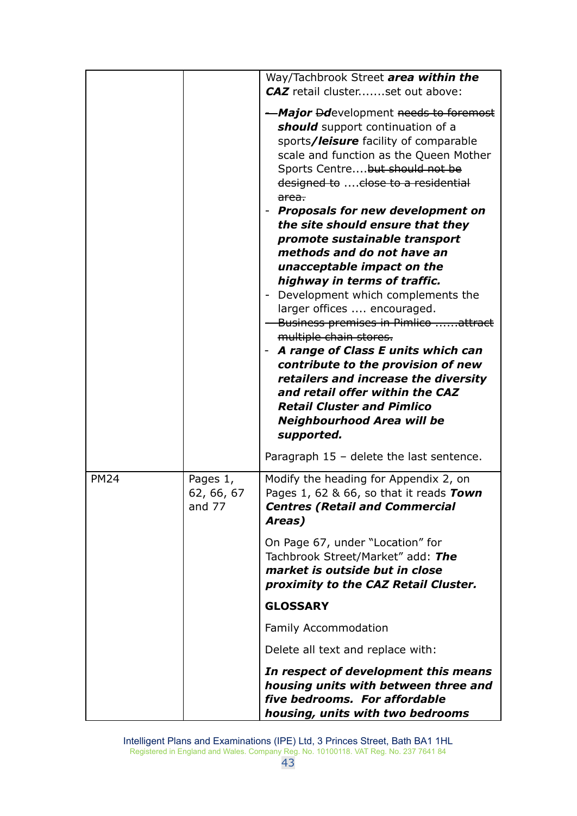|             |                                  | Way/Tachbrook Street area within the                                                                                                                                                                                                                                                                                                                                                                                                                                                                                                                                                                                                                                                                                                                                                                                                                 |
|-------------|----------------------------------|------------------------------------------------------------------------------------------------------------------------------------------------------------------------------------------------------------------------------------------------------------------------------------------------------------------------------------------------------------------------------------------------------------------------------------------------------------------------------------------------------------------------------------------------------------------------------------------------------------------------------------------------------------------------------------------------------------------------------------------------------------------------------------------------------------------------------------------------------|
|             |                                  | CAZ retail clusterset out above:                                                                                                                                                                                                                                                                                                                                                                                                                                                                                                                                                                                                                                                                                                                                                                                                                     |
|             |                                  | -Major Ddevelopment needs to foremost<br>should support continuation of a<br>sports/leisure facility of comparable<br>scale and function as the Queen Mother<br>Sports Centre but should not be<br>designed to  close to a residential<br><del>area.</del><br><b>Proposals for new development on</b><br>the site should ensure that they<br>promote sustainable transport<br>methods and do not have an<br>unacceptable impact on the<br>highway in terms of traffic.<br>Development which complements the<br>larger offices  encouraged.<br>Business premises in Pimlico attract<br>multiple chain stores.<br>A range of Class E units which can<br>contribute to the provision of new<br>retailers and increase the diversity<br>and retail offer within the CAZ<br><b>Retail Cluster and Pimlico</b><br>Neighbourhood Area will be<br>supported. |
|             |                                  | Paragraph $15$ – delete the last sentence.                                                                                                                                                                                                                                                                                                                                                                                                                                                                                                                                                                                                                                                                                                                                                                                                           |
| <b>PM24</b> | Pages 1,<br>62, 66, 67<br>and 77 | Modify the heading for Appendix 2, on<br>Pages 1, 62 & 66, so that it reads Town<br><b>Centres (Retail and Commercial</b><br>Areas)                                                                                                                                                                                                                                                                                                                                                                                                                                                                                                                                                                                                                                                                                                                  |
|             |                                  | On Page 67, under "Location" for<br>Tachbrook Street/Market" add: The<br>market is outside but in close<br>proximity to the CAZ Retail Cluster.                                                                                                                                                                                                                                                                                                                                                                                                                                                                                                                                                                                                                                                                                                      |
|             |                                  | <b>GLOSSARY</b>                                                                                                                                                                                                                                                                                                                                                                                                                                                                                                                                                                                                                                                                                                                                                                                                                                      |
|             |                                  | <b>Family Accommodation</b>                                                                                                                                                                                                                                                                                                                                                                                                                                                                                                                                                                                                                                                                                                                                                                                                                          |
|             |                                  | Delete all text and replace with:                                                                                                                                                                                                                                                                                                                                                                                                                                                                                                                                                                                                                                                                                                                                                                                                                    |
|             |                                  | In respect of development this means<br>housing units with between three and<br>five bedrooms. For affordable<br>housing, units with two bedrooms                                                                                                                                                                                                                                                                                                                                                                                                                                                                                                                                                                                                                                                                                                    |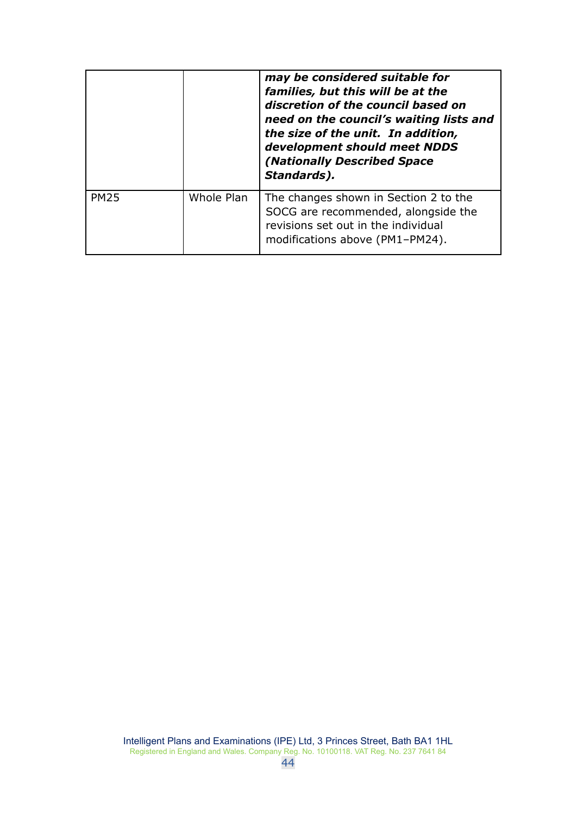|             |            | may be considered suitable for<br>families, but this will be at the<br>discretion of the council based on<br>need on the council's waiting lists and<br>the size of the unit. In addition,<br>development should meet NDDS<br>(Nationally Described Space<br>Standards). |
|-------------|------------|--------------------------------------------------------------------------------------------------------------------------------------------------------------------------------------------------------------------------------------------------------------------------|
| <b>PM25</b> | Whole Plan | The changes shown in Section 2 to the<br>SOCG are recommended, alongside the<br>revisions set out in the individual<br>modifications above (PM1-PM24).                                                                                                                   |